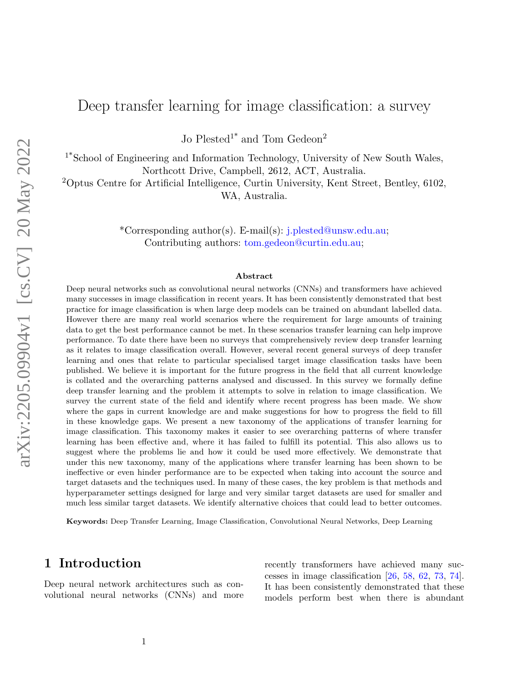# Deep transfer learning for image classification: a survey

Jo Plested<sup>1\*</sup> and Tom Gedeon<sup>2</sup>

1\*School of Engineering and Information Technology, University of New South Wales, Northcott Drive, Campbell, 2612, ACT, Australia.

<sup>2</sup>Optus Centre for Artificial Intelligence, Curtin University, Kent Street, Bentley, 6102, WA, Australia.

> \*Corresponding author(s). E-mail(s): j.plested@unsw.edu.au; Contributing authors: tom.gedeon@curtin.edu.au;

#### Abstract

Deep neural networks such as convolutional neural networks (CNNs) and transformers have achieved many successes in image classification in recent years. It has been consistently demonstrated that best practice for image classification is when large deep models can be trained on abundant labelled data. However there are many real world scenarios where the requirement for large amounts of training data to get the best performance cannot be met. In these scenarios transfer learning can help improve performance. To date there have been no surveys that comprehensively review deep transfer learning as it relates to image classification overall. However, several recent general surveys of deep transfer learning and ones that relate to particular specialised target image classification tasks have been published. We believe it is important for the future progress in the field that all current knowledge is collated and the overarching patterns analysed and discussed. In this survey we formally define deep transfer learning and the problem it attempts to solve in relation to image classification. We survey the current state of the field and identify where recent progress has been made. We show where the gaps in current knowledge are and make suggestions for how to progress the field to fill in these knowledge gaps. We present a new taxonomy of the applications of transfer learning for image classification. This taxonomy makes it easier to see overarching patterns of where transfer learning has been effective and, where it has failed to fulfill its potential. This also allows us to suggest where the problems lie and how it could be used more effectively. We demonstrate that under this new taxonomy, many of the applications where transfer learning has been shown to be ineffective or even hinder performance are to be expected when taking into account the source and target datasets and the techniques used. In many of these cases, the key problem is that methods and hyperparameter settings designed for large and very similar target datasets are used for smaller and much less similar target datasets. We identify alternative choices that could lead to better outcomes.

Keywords: Deep Transfer Learning, Image Classification, Convolutional Neural Networks, Deep Learning

# <span id="page-0-0"></span>1 Introduction

Deep neural network architectures such as convolutional neural networks (CNNs) and more recently transformers have achieved many successes in image classification [\[26,](#page-31-0) [58,](#page-33-0) [62,](#page-33-1) [73,](#page-34-0) [74\]](#page-34-1). It has been consistently demonstrated that these models perform best when there is abundant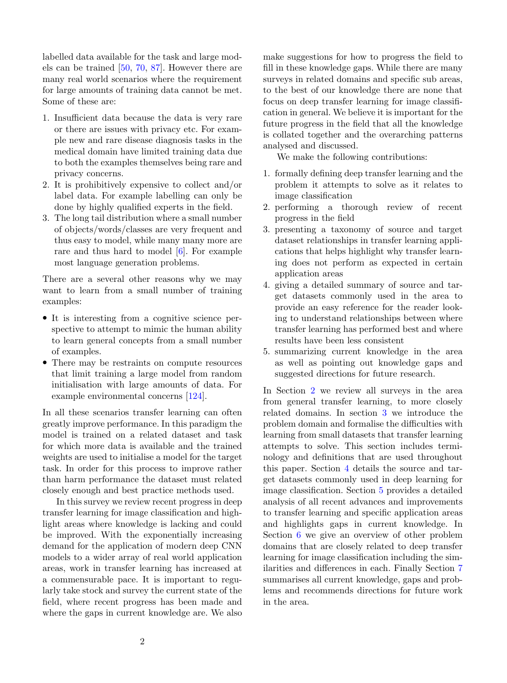labelled data available for the task and large models can be trained [\[50,](#page-32-0) [70,](#page-34-2) [87\]](#page-35-0). However there are many real world scenarios where the requirement for large amounts of training data cannot be met. Some of these are:

- 1. Insufficient data because the data is very rare or there are issues with privacy etc. For example new and rare disease diagnosis tasks in the medical domain have limited training data due to both the examples themselves being rare and privacy concerns.
- 2. It is prohibitively expensive to collect and/or label data. For example labelling can only be done by highly qualified experts in the field.
- 3. The long tail distribution where a small number of objects/words/classes are very frequent and thus easy to model, while many many more are rare and thus hard to model [\[6\]](#page-30-0). For example most language generation problems.

There are a several other reasons why we may want to learn from a small number of training examples:

- It is interesting from a cognitive science perspective to attempt to mimic the human ability to learn general concepts from a small number of examples.
- There may be restraints on compute resources that limit training a large model from random initialisation with large amounts of data. For example environmental concerns [\[124\]](#page-37-0).

In all these scenarios transfer learning can often greatly improve performance. In this paradigm the model is trained on a related dataset and task for which more data is available and the trained weights are used to initialise a model for the target task. In order for this process to improve rather than harm performance the dataset must related closely enough and best practice methods used.

In this survey we review recent progress in deep transfer learning for image classification and highlight areas where knowledge is lacking and could be improved. With the exponentially increasing demand for the application of modern deep CNN models to a wider array of real world application areas, work in transfer learning has increased at a commensurable pace. It is important to regularly take stock and survey the current state of the field, where recent progress has been made and where the gaps in current knowledge are. We also

make suggestions for how to progress the field to fill in these knowledge gaps. While there are many surveys in related domains and specific sub areas, to the best of our knowledge there are none that focus on deep transfer learning for image classification in general. We believe it is important for the future progress in the field that all the knowledge is collated together and the overarching patterns analysed and discussed.

We make the following contributions:

- 1. formally defining deep transfer learning and the problem it attempts to solve as it relates to image classification
- 2. performing a thorough review of recent progress in the field
- 3. presenting a taxonomy of source and target dataset relationships in transfer learning applications that helps highlight why transfer learning does not perform as expected in certain application areas
- 4. giving a detailed summary of source and target datasets commonly used in the area to provide an easy reference for the reader looking to understand relationships between where transfer learning has performed best and where results have been less consistent
- 5. summarizing current knowledge in the area as well as pointing out knowledge gaps and suggested directions for future research.

In Section [2](#page-2-0) we review all surveys in the area from general transfer learning, to more closely related domains. In section [3](#page-3-0) we introduce the problem domain and formalise the difficulties with learning from small datasets that transfer learning attempts to solve. This section includes terminology and definitions that are used throughout this paper. Section [4](#page-7-0) details the source and target datasets commonly used in deep learning for image classification. Section [5](#page-9-0) provides a detailed analysis of all recent advances and improvements to transfer learning and specific application areas and highlights gaps in current knowledge. In Section [6](#page-25-0) we give an overview of other problem domains that are closely related to deep transfer learning for image classification including the similarities and differences in each. Finally Section [7](#page-27-0) summarises all current knowledge, gaps and problems and recommends directions for future work in the area.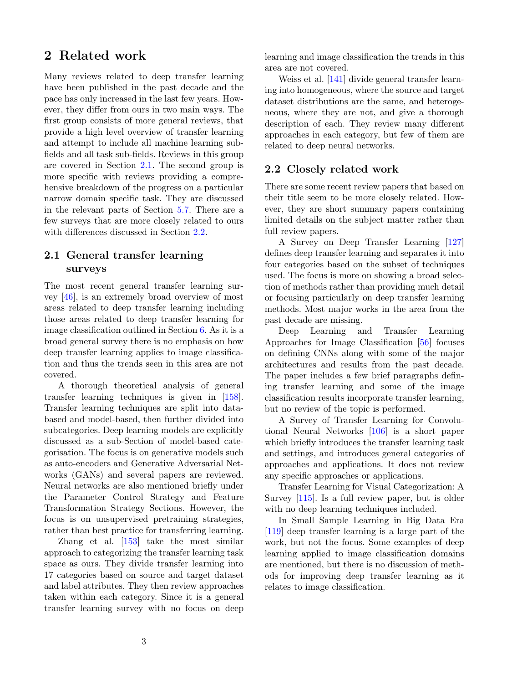# <span id="page-2-0"></span>2 Related work

Many reviews related to deep transfer learning have been published in the past decade and the pace has only increased in the last few years. However, they differ from ours in two main ways. The first group consists of more general reviews, that provide a high level overview of transfer learning and attempt to include all machine learning subfields and all task sub-fields. Reviews in this group are covered in Section [2.1.](#page-2-1) The second group is more specific with reviews providing a comprehensive breakdown of the progress on a particular narrow domain specific task. They are discussed in the relevant parts of Section [5.7.](#page-20-0) There are a few surveys that are more closely related to ours with differences discussed in Section [2.2.](#page-2-2)

# <span id="page-2-1"></span>2.1 General transfer learning surveys

The most recent general transfer learning survey [\[46\]](#page-32-1), is an extremely broad overview of most areas related to deep transfer learning including those areas related to deep transfer learning for image classification outlined in Section [6.](#page-25-0) As it is a broad general survey there is no emphasis on how deep transfer learning applies to image classification and thus the trends seen in this area are not covered.

A thorough theoretical analysis of general transfer learning techniques is given in [\[158\]](#page-39-0). Transfer learning techniques are split into databased and model-based, then further divided into subcategories. Deep learning models are explicitly discussed as a sub-Section of model-based categorisation. The focus is on generative models such as auto-encoders and Generative Adversarial Networks (GANs) and several papers are reviewed. Neural networks are also mentioned briefly under the Parameter Control Strategy and Feature Transformation Strategy Sections. However, the focus is on unsupervised pretraining strategies, rather than best practice for transferring learning.

Zhang et al. [\[153\]](#page-38-0) take the most similar approach to categorizing the transfer learning task space as ours. They divide transfer learning into 17 categories based on source and target dataset and label attributes. They then review approaches taken within each category. Since it is a general transfer learning survey with no focus on deep

learning and image classification the trends in this area are not covered.

Weiss et al. [\[141\]](#page-38-1) divide general transfer learning into homogeneous, where the source and target dataset distributions are the same, and heterogeneous, where they are not, and give a thorough description of each. They review many different approaches in each category, but few of them are related to deep neural networks.

### <span id="page-2-2"></span>2.2 Closely related work

There are some recent review papers that based on their title seem to be more closely related. However, they are short summary papers containing limited details on the subject matter rather than full review papers.

A Survey on Deep Transfer Learning [\[127\]](#page-37-1) defines deep transfer learning and separates it into four categories based on the subset of techniques used. The focus is more on showing a broad selection of methods rather than providing much detail or focusing particularly on deep transfer learning methods. Most major works in the area from the past decade are missing.

Deep Learning and Transfer Learning Approaches for Image Classification [\[56\]](#page-33-2) focuses on defining CNNs along with some of the major architectures and results from the past decade. The paper includes a few brief paragraphs defining transfer learning and some of the image classification results incorporate transfer learning, but no review of the topic is performed.

A Survey of Transfer Learning for Convolutional Neural Networks [\[106\]](#page-36-0) is a short paper which briefly introduces the transfer learning task and settings, and introduces general categories of approaches and applications. It does not review any specific approaches or applications.

Transfer Learning for Visual Categorization: A Survey [\[115\]](#page-36-1). Is a full review paper, but is older with no deep learning techniques included.

In Small Sample Learning in Big Data Era [\[119\]](#page-37-2) deep transfer learning is a large part of the work, but not the focus. Some examples of deep learning applied to image classification domains are mentioned, but there is no discussion of methods for improving deep transfer learning as it relates to image classification.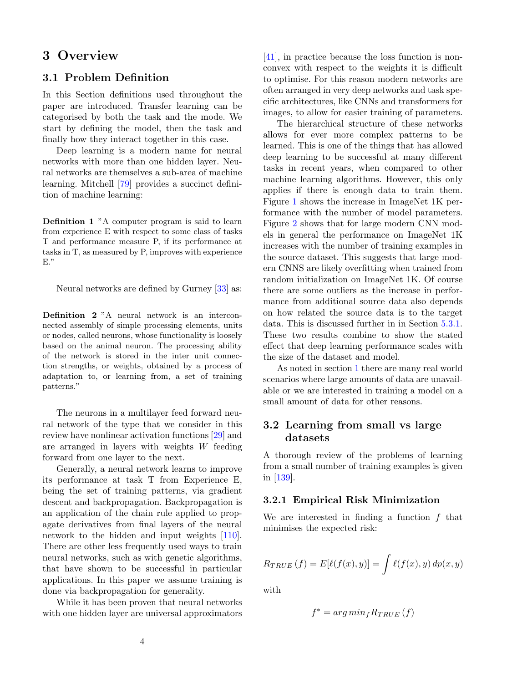# <span id="page-3-0"></span>3 Overview

## 3.1 Problem Definition

In this Section definitions used throughout the paper are introduced. Transfer learning can be categorised by both the task and the mode. We start by defining the model, then the task and finally how they interact together in this case.

Deep learning is a modern name for neural networks with more than one hidden layer. Neural networks are themselves a sub-area of machine learning. Mitchell [\[79\]](#page-34-3) provides a succinct definition of machine learning:

Definition 1 "A computer program is said to learn from experience E with respect to some class of tasks T and performance measure P, if its performance at tasks in T, as measured by P, improves with experience E."

Neural networks are defined by Gurney [\[33\]](#page-32-2) as:

Definition 2 "A neural network is an interconnected assembly of simple processing elements, units or nodes, called neurons, whose functionality is loosely based on the animal neuron. The processing ability of the network is stored in the inter unit connection strengths, or weights, obtained by a process of adaptation to, or learning from, a set of training patterns."

The neurons in a multilayer feed forward neural network of the type that we consider in this review have nonlinear activation functions [\[29\]](#page-31-1) and are arranged in layers with weights W feeding forward from one layer to the next.

Generally, a neural network learns to improve its performance at task T from Experience E, being the set of training patterns, via gradient descent and backpropagation. Backpropagation is an application of the chain rule applied to propagate derivatives from final layers of the neural network to the hidden and input weights [\[110\]](#page-36-2). There are other less frequently used ways to train neural networks, such as with genetic algorithms, that have shown to be successful in particular applications. In this paper we assume training is done via backpropagation for generality.

While it has been proven that neural networks with one hidden layer are universal approximators

[\[41\]](#page-32-3), in practice because the loss function is nonconvex with respect to the weights it is difficult to optimise. For this reason modern networks are often arranged in very deep networks and task specific architectures, like CNNs and transformers for images, to allow for easier training of parameters.

The hierarchical structure of these networks allows for ever more complex patterns to be learned. This is one of the things that has allowed deep learning to be successful at many different tasks in recent years, when compared to other machine learning algorithms. However, this only applies if there is enough data to train them. Figure [1](#page-4-0) shows the increase in ImageNet 1K performance with the number of model parameters. Figure [2](#page-4-1) shows that for large modern CNN models in general the performance on ImageNet 1K increases with the number of training examples in the source dataset. This suggests that large modern CNNS are likely overfitting when trained from random initialization on ImageNet 1K. Of course there are some outliers as the increase in performance from additional source data also depends on how related the source data is to the target data. This is discussed further in in Section [5.3.1.](#page-16-0) These two results combine to show the stated effect that deep learning performance scales with the size of the dataset and model.

As noted in section [1](#page-0-0) there are many real world scenarios where large amounts of data are unavailable or we are interested in training a model on a small amount of data for other reasons.

## 3.2 Learning from small vs large datasets

A thorough review of the problems of learning from a small number of training examples is given in [\[139\]](#page-38-2).

#### 3.2.1 Empirical Risk Minimization

We are interested in finding a function  $f$  that minimises the expected risk:

$$
R_{TRUE}(f) = E[\ell(f(x), y)] = \int \ell(f(x), y) dp(x, y)
$$

with

$$
f^* = arg\ min_f R_{TRUE}\left(f\right)
$$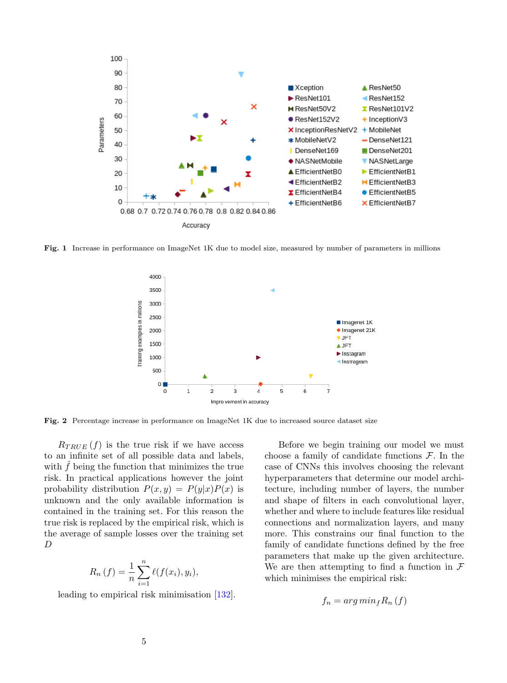

<span id="page-4-0"></span>Fig. 1 Increase in performance on ImageNet 1K due to model size, measured by number of parameters in millions



<span id="page-4-1"></span>Fig. 2 Percentage increase in performance on ImageNet 1K due to increased source dataset size

 $R_{TRUE}(f)$  is the true risk if we have access to an infinite set of all possible data and labels, with  $\hat{f}$  being the function that minimizes the true risk. In practical applications however the joint probability distribution  $P(x, y) = P(y|x)P(x)$  is unknown and the only available information is contained in the training set. For this reason the true risk is replaced by the empirical risk, which is the average of sample losses over the training set D

$$
R_n(f) = \frac{1}{n} \sum_{i=1}^n \ell(f(x_i), y_i),
$$

leading to empirical risk minimisation [\[132\]](#page-37-3).

Before we begin training our model we must choose a family of candidate functions  $\mathcal{F}$ . In the case of CNNs this involves choosing the relevant hyperparameters that determine our model architecture, including number of layers, the number and shape of filters in each convolutional layer, whether and where to include features like residual connections and normalization layers, and many more. This constrains our final function to the family of candidate functions defined by the free parameters that make up the given architecture. We are then attempting to find a function in  $\mathcal F$ which minimises the empirical risk:

$$
f_n = arg\ min_f R_n(f)
$$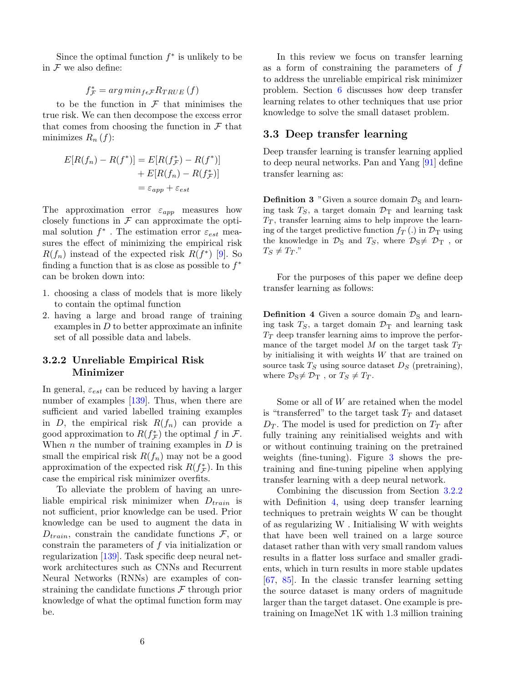Since the optimal function  $f^*$  is unlikely to be in  $\mathcal F$  we also define:

# $f^*_{\mathcal{F}} = \arg\min_{f \in \mathcal{F}} R_{TRUE}(f)$

to be the function in  $\mathcal F$  that minimises the true risk. We can then decompose the excess error that comes from choosing the function in  $\mathcal F$  that minimizes  $R_n(f)$ :

$$
E[R(f_n) - R(f^*)] = E[R(f^*_{\mathcal{F}}) - R(f^*)]
$$
  
+ 
$$
E[R(f_n) - R(f^*_{\mathcal{F}})]
$$
  
= 
$$
\varepsilon_{app} + \varepsilon_{est}
$$

The approximation error  $\varepsilon_{app}$  measures how closely functions in  $\mathcal F$  can approximate the optimal solution  $f^*$  . The estimation error  $\varepsilon_{est}$  measures the effect of minimizing the empirical risk  $R(f_n)$  instead of the expected risk  $R(f^*)$  [\[9\]](#page-30-1). So finding a function that is as close as possible to  $f^*$ can be broken down into:

- 1. choosing a class of models that is more likely to contain the optimal function
- 2. having a large and broad range of training examples in  $D$  to better approximate an infinite set of all possible data and labels.

## <span id="page-5-0"></span>3.2.2 Unreliable Empirical Risk Minimizer

In general,  $\varepsilon_{est}$  can be reduced by having a larger number of examples [\[139\]](#page-38-2). Thus, when there are sufficient and varied labelled training examples in D, the empirical risk  $R(f_n)$  can provide a good approximation to  $R(f_{\mathcal{F}}^*)$  the optimal f in  $\mathcal{F}$ . When *n* the number of training examples in  $D$  is small the empirical risk  $R(f_n)$  may not be a good approximation of the expected risk  $R(f^*_{\mathcal{F}})$ . In this case the empirical risk minimizer overfits.

To alleviate the problem of having an unreliable empirical risk minimizer when  $D_{train}$  is not sufficient, prior knowledge can be used. Prior knowledge can be used to augment the data in  $D_{train}$ , constrain the candidate functions  $\mathcal{F}$ , or constrain the parameters of  $f$  via initialization or regularization [\[139\]](#page-38-2). Task specific deep neural network architectures such as CNNs and Recurrent Neural Networks (RNNs) are examples of constraining the candidate functions  $\mathcal F$  through prior knowledge of what the optimal function form may be.

In this review we focus on transfer learning as a form of constraining the parameters of  $f$ to address the unreliable empirical risk minimizer problem. Section [6](#page-25-0) discusses how deep transfer learning relates to other techniques that use prior knowledge to solve the small dataset problem.

### 3.3 Deep transfer learning

Deep transfer learning is transfer learning applied to deep neural networks. Pan and Yang [\[91\]](#page-35-1) define transfer learning as:

<span id="page-5-2"></span>**Definition 3** "Given a source domain  $\mathcal{D}_S$  and learning task  $T<sub>S</sub>$ , a target domain  $\mathcal{D}_{\rm T}$  and learning task  $T<sub>T</sub>$ , transfer learning aims to help improve the learning of the target predictive function  $f_T(.)$  in  $\mathcal{D}_T$  using the knowledge in  $\mathcal{D}_S$  and  $T_S$ , where  $\mathcal{D}_S \neq \mathcal{D}_T$ , or  $T_S \neq T_T$ ."

For the purposes of this paper we define deep transfer learning as follows:

<span id="page-5-1"></span>**Definition 4** Given a source domain  $\mathcal{D}_S$  and learning task  $T<sub>S</sub>$ , a target domain  $\mathcal{D}_{\rm T}$  and learning task  $T_T$  deep transfer learning aims to improve the performance of the target model  $M$  on the target task  $T_T$ by initialising it with weights  $W$  that are trained on source task  $T_S$  using source dataset  $D_S$  (pretraining), where  $\mathcal{D}_S \neq \mathcal{D}_T$ , or  $T_S \neq T_T$ .

Some or all of W are retained when the model is "transferred" to the target task  $T_T$  and dataset  $D_T$ . The model is used for prediction on  $T_T$  after fully training any reinitialised weights and with or without continuing training on the pretrained weights (fine-tuning). Figure [3](#page-6-0) shows the pretraining and fine-tuning pipeline when applying transfer learning with a deep neural network.

Combining the discussion from Section [3.2.2](#page-5-0) with Definition [4,](#page-5-1) using deep transfer learning techniques to pretrain weights W can be thought of as regularizing W . Initialising W with weights that have been well trained on a large source dataset rather than with very small random values results in a flatter loss surface and smaller gradients, which in turn results in more stable updates [\[67,](#page-33-3) [85\]](#page-34-4). In the classic transfer learning setting the source dataset is many orders of magnitude larger than the target dataset. One example is pretraining on ImageNet 1K with 1.3 million training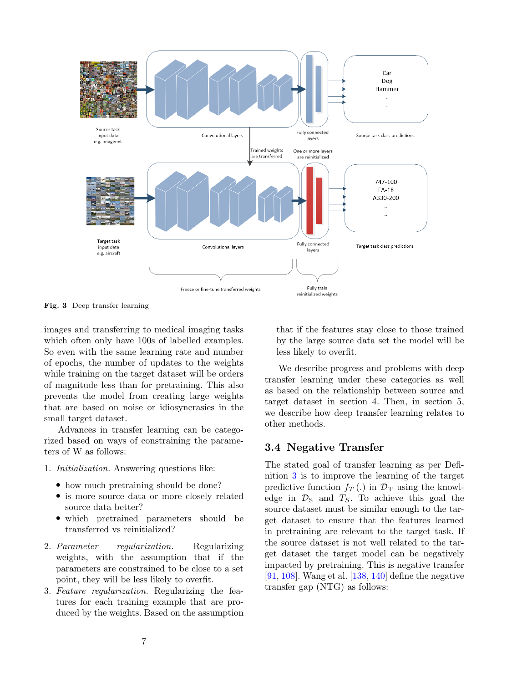

<span id="page-6-0"></span>Fig. 3 Deep transfer learning

images and transferring to medical imaging tasks which often only have 100s of labelled examples. So even with the same learning rate and number of epochs, the number of updates to the weights while training on the target dataset will be orders of magnitude less than for pretraining. This also prevents the model from creating large weights that are based on noise or idiosyncrasies in the small target dataset.

Advances in transfer learning can be categorized based on ways of constraining the parameters of W as follows:

- 1. Initialization. Answering questions like:
	- how much pretraining should be done?
	- is more source data or more closely related source data better?
	- which pretrained parameters should be transferred vs reinitialized?
- 2. Parameter regularization. Regularizing weights, with the assumption that if the parameters are constrained to be close to a set point, they will be less likely to overfit.
- 3. Feature regularization. Regularizing the features for each training example that are produced by the weights. Based on the assumption

that if the features stay close to those trained by the large source data set the model will be less likely to overfit.

We describe progress and problems with deep transfer learning under these categories as well as based on the relationship between source and target dataset in section 4. Then, in section 5, we describe how deep transfer learning relates to other methods.

## 3.4 Negative Transfer

The stated goal of transfer learning as per Definition [3](#page-5-2) is to improve the learning of the target predictive function  $f_T(.)$  in  $\mathcal{D}_T$  using the knowledge in  $\mathcal{D}_S$  and  $T_S$ . To achieve this goal the source dataset must be similar enough to the target dataset to ensure that the features learned in pretraining are relevant to the target task. If the source dataset is not well related to the target dataset the target model can be negatively impacted by pretraining. This is negative transfer [\[91,](#page-35-1) [108\]](#page-36-3). Wang et al. [\[138,](#page-38-3) [140\]](#page-38-4) define the negative transfer gap (NTG) as follows: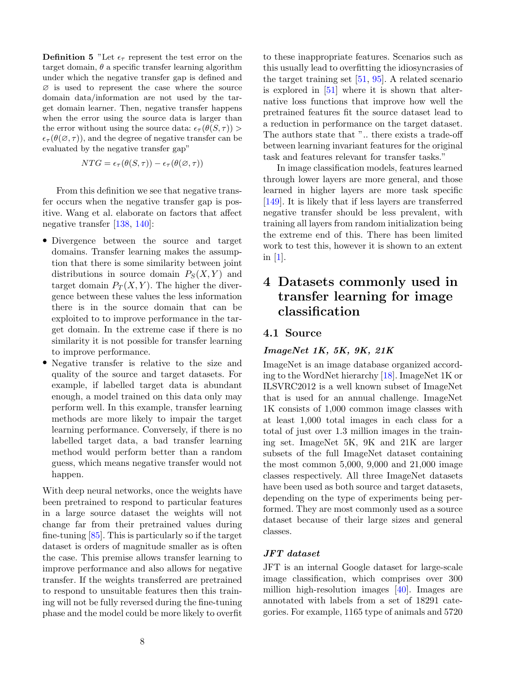**Definition 5** "Let  $\epsilon_{\tau}$  represent the test error on the target domain,  $\theta$  a specific transfer learning algorithm under which the negative transfer gap is defined and ∅ is used to represent the case where the source domain data/information are not used by the target domain learner. Then, negative transfer happens when the error using the source data is larger than the error without using the source data:  $\epsilon_{\tau}(\theta(S, \tau))$  $\epsilon_{\tau}(\theta(\emptyset, \tau))$ , and the degree of negative transfer can be evaluated by the negative transfer gap"

$$
NTG = \epsilon_{\tau}(\theta(S, \tau)) - \epsilon_{\tau}(\theta(\emptyset, \tau))
$$

From this definition we see that negative transfer occurs when the negative transfer gap is positive. Wang et al. elaborate on factors that affect negative transfer [\[138,](#page-38-3) [140\]](#page-38-4):

- Divergence between the source and target domains. Transfer learning makes the assumption that there is some similarity between joint distributions in source domain  $P_S(X, Y)$  and target domain  $P_T(X, Y)$ . The higher the divergence between these values the less information there is in the source domain that can be exploited to to improve performance in the target domain. In the extreme case if there is no similarity it is not possible for transfer learning to improve performance.
- Negative transfer is relative to the size and quality of the source and target datasets. For example, if labelled target data is abundant enough, a model trained on this data only may perform well. In this example, transfer learning methods are more likely to impair the target learning performance. Conversely, if there is no labelled target data, a bad transfer learning method would perform better than a random guess, which means negative transfer would not happen.

With deep neural networks, once the weights have been pretrained to respond to particular features in a large source dataset the weights will not change far from their pretrained values during fine-tuning [\[85\]](#page-34-4). This is particularly so if the target dataset is orders of magnitude smaller as is often the case. This premise allows transfer learning to improve performance and also allows for negative transfer. If the weights transferred are pretrained to respond to unsuitable features then this training will not be fully reversed during the fine-tuning phase and the model could be more likely to overfit

to these inappropriate features. Scenarios such as this usually lead to overfitting the idiosyncrasies of the target training set  $[51, 95]$  $[51, 95]$  $[51, 95]$ . A related scenario is explored in [\[51\]](#page-32-4) where it is shown that alternative loss functions that improve how well the pretrained features fit the source dataset lead to a reduction in performance on the target dataset. The authors state that ".. there exists a trade-off between learning invariant features for the original task and features relevant for transfer tasks."

In image classification models, features learned through lower layers are more general, and those learned in higher layers are more task specific [\[149\]](#page-38-5). It is likely that if less layers are transferred negative transfer should be less prevalent, with training all layers from random initialization being the extreme end of this. There has been limited work to test this, however it is shown to an extent in  $[1]$ .

# <span id="page-7-0"></span>4 Datasets commonly used in transfer learning for image classification

# 4.1 Source

#### ImageNet 1K, 5K, 9K, 21K

ImageNet is an image database organized according to the WordNet hierarchy [\[18\]](#page-31-2). ImageNet 1K or ILSVRC2012 is a well known subset of ImageNet that is used for an annual challenge. ImageNet 1K consists of 1,000 common image classes with at least 1,000 total images in each class for a total of just over 1.3 million images in the training set. ImageNet 5K, 9K and 21K are larger subsets of the full ImageNet dataset containing the most common 5,000, 9,000 and 21,000 image classes respectively. All three ImageNet datasets have been used as both source and target datasets, depending on the type of experiments being performed. They are most commonly used as a source dataset because of their large sizes and general classes.

#### JFT dataset

JFT is an internal Google dataset for large-scale image classification, which comprises over 300 million high-resolution images [\[40\]](#page-32-5). Images are annotated with labels from a set of 18291 categories. For example, 1165 type of animals and 5720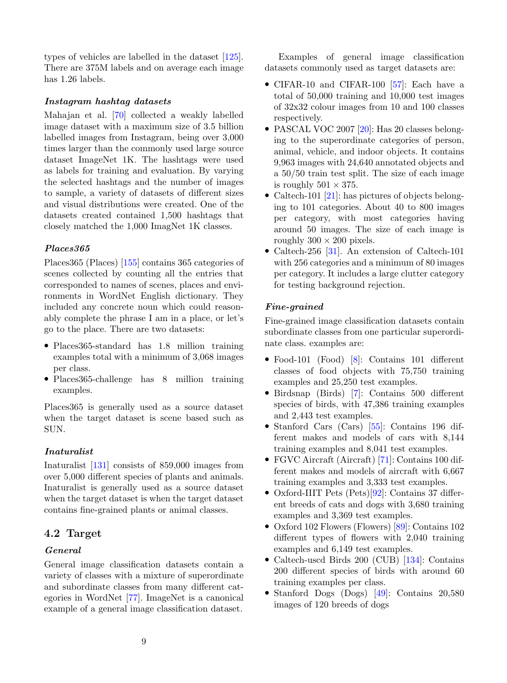types of vehicles are labelled in the dataset [\[125\]](#page-37-4). There are 375M labels and on average each image has 1.26 labels.

#### Instagram hashtag datasets

Mahajan et al. [\[70\]](#page-34-2) collected a weakly labelled image dataset with a maximum size of 3.5 billion labelled images from Instagram, being over 3,000 times larger than the commonly used large source dataset ImageNet 1K. The hashtags were used as labels for training and evaluation. By varying the selected hashtags and the number of images to sample, a variety of datasets of different sizes and visual distributions were created. One of the datasets created contained 1,500 hashtags that closely matched the 1,000 ImagNet 1K classes.

#### Places365

Places365 (Places) [\[155\]](#page-39-1) contains 365 categories of scenes collected by counting all the entries that corresponded to names of scenes, places and environments in WordNet English dictionary. They included any concrete noun which could reasonably complete the phrase I am in a place, or let's go to the place. There are two datasets:

- Places 365-standard has 1.8 million training examples total with a minimum of 3,068 images per class.
- Places365-challenge has 8 million training examples.

Places365 is generally used as a source dataset when the target dataset is scene based such as SUN.

#### Inaturalist

Inaturalist [\[131\]](#page-37-5) consists of 859,000 images from over 5,000 different species of plants and animals. Inaturalist is generally used as a source dataset when the target dataset is when the target dataset contains fine-grained plants or animal classes.

## 4.2 Target

#### General

General image classification datasets contain a variety of classes with a mixture of superordinate and subordinate classes from many different categories in WordNet [\[77\]](#page-34-5). ImageNet is a canonical example of a general image classification dataset.

Examples of general image classification datasets commonly used as target datasets are:

- CIFAR-10 and CIFAR-100 [\[57\]](#page-33-4): Each have a total of 50,000 training and 10,000 test images of 32x32 colour images from 10 and 100 classes respectively.
- PASCAL VOC 2007 [\[20\]](#page-31-3): Has 20 classes belonging to the superordinate categories of person, animal, vehicle, and indoor objects. It contains 9,963 images with 24,640 annotated objects and a 50/50 train test split. The size of each image is roughly  $501 \times 375$ .
- Caltech-101 [\[21\]](#page-31-4): has pictures of objects belonging to 101 categories. About 40 to 800 images per category, with most categories having around 50 images. The size of each image is roughly  $300 \times 200$  pixels.
- Caltech-256 [\[31\]](#page-31-5). An extension of Caltech-101 with 256 categories and a minimum of 80 images per category. It includes a large clutter category for testing background rejection.

#### Fine-grained

Fine-grained image classification datasets contain subordinate classes from one particular superordinate class. examples are:

- Food-101 (Food) [\[8\]](#page-30-2): Contains 101 different classes of food objects with 75,750 training examples and 25,250 test examples.
- Birdsnap (Birds) [\[7\]](#page-30-3): Contains 500 different species of birds, with 47,386 training examples and 2,443 test examples.
- Stanford Cars (Cars) [\[55\]](#page-33-5): Contains 196 different makes and models of cars with 8,144 training examples and 8,041 test examples.
- FGVC Aircraft (Aircraft) [\[71\]](#page-34-6): Contains 100 different makes and models of aircraft with 6,667 training examples and 3,333 test examples.
- Oxford-IIIT Pets (Pets)[\[92\]](#page-35-3): Contains 37 different breeds of cats and dogs with 3,680 training examples and 3,369 test examples.
- Oxford 102 Flowers (Flowers) [\[89\]](#page-35-4): Contains 102 different types of flowers with 2,040 training examples and 6,149 test examples.
- Caltech-uscd Birds 200 (CUB) [\[134\]](#page-37-6): Contains 200 different species of birds with around 60 training examples per class.
- Stanford Dogs (Dogs) [\[49\]](#page-32-6): Contains 20,580 images of 120 breeds of dogs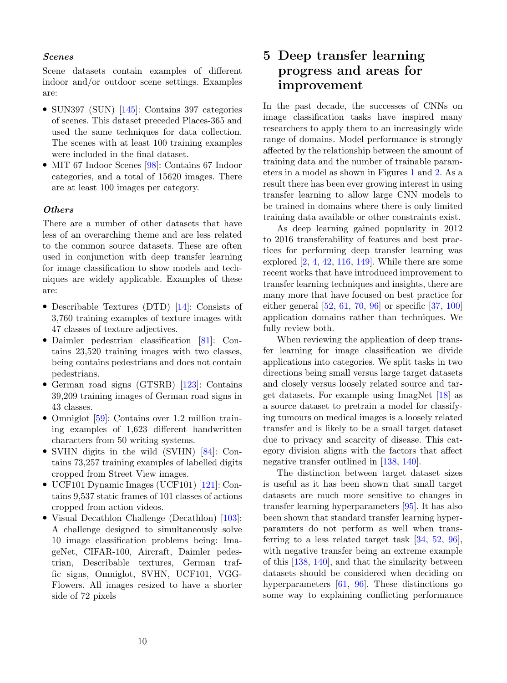#### Scenes

Scene datasets contain examples of different indoor and/or outdoor scene settings. Examples are:

- SUN397 (SUN) [\[145\]](#page-38-6): Contains 397 categories of scenes. This dataset preceded Places-365 and used the same techniques for data collection. The scenes with at least 100 training examples were included in the final dataset.
- MIT 67 Indoor Scenes [\[98\]](#page-35-5): Contains 67 Indoor categories, and a total of 15620 images. There are at least 100 images per category.

#### **Others**

There are a number of other datasets that have less of an overarching theme and are less related to the common source datasets. These are often used in conjunction with deep transfer learning for image classification to show models and techniques are widely applicable. Examples of these are:

- Describable Textures (DTD) [\[14\]](#page-30-4): Consists of 3,760 training examples of texture images with 47 classes of texture adjectives.
- Daimler pedestrian classification [\[81\]](#page-34-7): Contains 23,520 training images with two classes, being contains pedestrians and does not contain pedestrians.
- German road signs (GTSRB) [\[123\]](#page-37-7): Contains 39,209 training images of German road signs in 43 classes.
- Omniglot [\[59\]](#page-33-6): Contains over 1.2 million training examples of 1,623 different handwritten characters from 50 writing systems.
- SVHN digits in the wild (SVHN) [\[84\]](#page-34-8): Contains 73,257 training examples of labelled digits cropped from Street View images.
- UCF101 Dynamic Images (UCF101) [\[121\]](#page-37-8): Contains 9,537 static frames of 101 classes of actions cropped from action videos.
- Visual Decathlon Challenge (Decathlon) [\[103\]](#page-36-4): A challenge designed to simultaneously solve 10 image classification problems being: ImageNet, CIFAR-100, Aircraft, Daimler pedestrian, Describable textures, German traffic signs, Omniglot, SVHN, UCF101, VGG-Flowers. All images resized to have a shorter side of 72 pixels

# <span id="page-9-0"></span>5 Deep transfer learning progress and areas for improvement

In the past decade, the successes of CNNs on image classification tasks have inspired many researchers to apply them to an increasingly wide range of domains. Model performance is strongly affected by the relationship between the amount of training data and the number of trainable parameters in a model as shown in Figures [1](#page-4-0) and [2.](#page-4-1) As a result there has been ever growing interest in using transfer learning to allow large CNN models to be trained in domains where there is only limited training data available or other constraints exist.

As deep learning gained popularity in 2012 to 2016 transferability of features and best practices for performing deep transfer learning was explored  $[2, 4, 42, 116, 149]$  $[2, 4, 42, 116, 149]$  $[2, 4, 42, 116, 149]$  $[2, 4, 42, 116, 149]$  $[2, 4, 42, 116, 149]$  $[2, 4, 42, 116, 149]$  $[2, 4, 42, 116, 149]$  $[2, 4, 42, 116, 149]$  $[2, 4, 42, 116, 149]$ . While there are some recent works that have introduced improvement to transfer learning techniques and insights, there are many more that have focused on best practice for either general [\[52,](#page-32-8) [61,](#page-33-7) [70,](#page-34-2) [96\]](#page-35-6) or specific [\[37,](#page-32-9) [100\]](#page-35-7) application domains rather than techniques. We fully review both.

When reviewing the application of deep transfer learning for image classification we divide applications into categories. We split tasks in two directions being small versus large target datasets and closely versus loosely related source and target datasets. For example using ImagNet [\[18\]](#page-31-2) as a source dataset to pretrain a model for classifying tumours on medical images is a loosely related transfer and is likely to be a small target dataset due to privacy and scarcity of disease. This category division aligns with the factors that affect negative transfer outlined in [\[138,](#page-38-3) [140\]](#page-38-4).

The distinction between target dataset sizes is useful as it has been shown that small target datasets are much more sensitive to changes in transfer learning hyperparameters [\[95\]](#page-35-2). It has also been shown that standard transfer learning hyperparamters do not perform as well when transferring to a less related target task [\[34,](#page-32-10) [52,](#page-32-8) [96\]](#page-35-6), with negative transfer being an extreme example of this [\[138,](#page-38-3) [140\]](#page-38-4), and that the similarity between datasets should be considered when deciding on hyperparameters [\[61,](#page-33-7) [96\]](#page-35-6). These distinctions go some way to explaining conflicting performance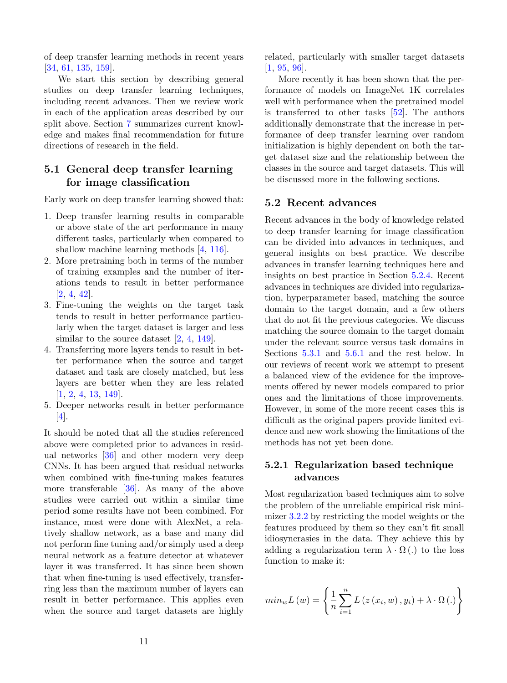of deep transfer learning methods in recent years [\[34,](#page-32-10) [61,](#page-33-7) [135,](#page-37-9) [159\]](#page-39-2).

We start this section by describing general studies on deep transfer learning techniques, including recent advances. Then we review work in each of the application areas described by our split above. Section [7](#page-27-0) summarizes current knowledge and makes final recommendation for future directions of research in the field.

# <span id="page-10-0"></span>5.1 General deep transfer learning for image classification

Early work on deep transfer learning showed that:

- 1. Deep transfer learning results in comparable or above state of the art performance in many different tasks, particularly when compared to shallow machine learning methods [\[4,](#page-30-6) [116\]](#page-36-5).
- 2. More pretraining both in terms of the number of training examples and the number of iterations tends to result in better performance [\[2,](#page-30-5) [4,](#page-30-6) [42\]](#page-32-7).
- 3. Fine-tuning the weights on the target task tends to result in better performance particularly when the target dataset is larger and less similar to the source dataset [\[2,](#page-30-5) [4,](#page-30-6) [149\]](#page-38-5).
- 4. Transferring more layers tends to result in better performance when the source and target dataset and task are closely matched, but less layers are better when they are less related [\[1,](#page-29-0) [2,](#page-30-5) [4,](#page-30-6) [13,](#page-30-7) [149\]](#page-38-5).
- 5. Deeper networks result in better performance [\[4\]](#page-30-6).

It should be noted that all the studies referenced above were completed prior to advances in residual networks [\[36\]](#page-32-11) and other modern very deep CNNs. It has been argued that residual networks when combined with fine-tuning makes features more transferable [\[36\]](#page-32-11). As many of the above studies were carried out within a similar time period some results have not been combined. For instance, most were done with AlexNet, a relatively shallow network, as a base and many did not perform fine tuning and/or simply used a deep neural network as a feature detector at whatever layer it was transferred. It has since been shown that when fine-tuning is used effectively, transferring less than the maximum number of layers can result in better performance. This applies even when the source and target datasets are highly

related, particularly with smaller target datasets [\[1,](#page-29-0) [95,](#page-35-2) [96\]](#page-35-6).

More recently it has been shown that the performance of models on ImageNet 1K correlates well with performance when the pretrained model is transferred to other tasks [\[52\]](#page-32-8). The authors additionally demonstrate that the increase in performance of deep transfer learning over random initialization is highly dependent on both the target dataset size and the relationship between the classes in the source and target datasets. This will be discussed more in the following sections.

#### 5.2 Recent advances

Recent advances in the body of knowledge related to deep transfer learning for image classification can be divided into advances in techniques, and general insights on best practice. We describe advances in transfer learning techniques here and insights on best practice in Section [5.2.4.](#page-13-0) Recent advances in techniques are divided into regularization, hyperparameter based, matching the source domain to the target domain, and a few others that do not fit the previous categories. We discuss matching the source domain to the target domain under the relevant source versus task domains in Sections [5.3.1](#page-16-0) and [5.6.1](#page-20-1) and the rest below. In our reviews of recent work we attempt to present a balanced view of the evidence for the improvements offered by newer models compared to prior ones and the limitations of those improvements. However, in some of the more recent cases this is difficult as the original papers provide limited evidence and new work showing the limitations of the methods has not yet been done.

## <span id="page-10-1"></span>5.2.1 Regularization based technique advances

Most regularization based techniques aim to solve the problem of the unreliable empirical risk minimizer [3.2.2](#page-5-0) by restricting the model weights or the features produced by them so they can't fit small idiosyncrasies in the data. They achieve this by adding a regularization term  $\lambda \cdot \Omega$  (.) to the loss function to make it:

$$
min_{w}L(w) = \left\{\frac{1}{n}\sum_{i=1}^{n}L(z(x_i, w), y_i) + \lambda \cdot \Omega(.)\right\}
$$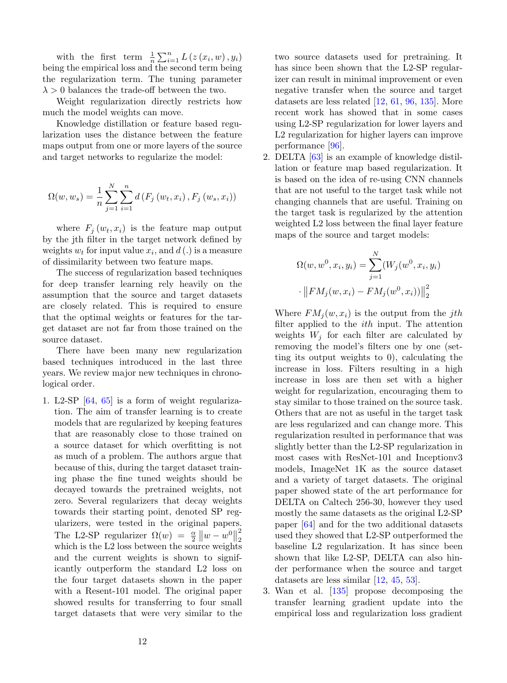with the first term  $\frac{1}{n} \sum_{i=1}^{n} L(z(x_i, w), y_i)$ being the empirical loss and the second term being the regularization term. The tuning parameter  $\lambda > 0$  balances the trade-off between the two.

Weight regularization directly restricts how much the model weights can move.

Knowledge distillation or feature based regularization uses the distance between the feature maps output from one or more layers of the source and target networks to regularize the model:

$$
\Omega(w, w_s) = \frac{1}{n} \sum_{j=1}^{N} \sum_{i=1}^{n} d(F_j(w_t, x_i), F_j(w_s, x_i))
$$

where  $F_i(w_t, x_i)$  is the feature map output by the jth filter in the target network defined by weights  $w_t$  for input value  $x_i$ , and  $d(.)$  is a measure of dissimilarity between two feature maps.

The success of regularization based techniques for deep transfer learning rely heavily on the assumption that the source and target datasets are closely related. This is required to ensure that the optimal weights or features for the target dataset are not far from those trained on the source dataset.

There have been many new regularization based techniques introduced in the last three years. We review major new techniques in chronological order.

1. L2-SP [\[64,](#page-33-8) [65\]](#page-33-9) is a form of weight regularization. The aim of transfer learning is to create models that are regularized by keeping features that are reasonably close to those trained on a source dataset for which overfitting is not as much of a problem. The authors argue that because of this, during the target dataset training phase the fine tuned weights should be decayed towards the pretrained weights, not zero. Several regularizers that decay weights towards their starting point, denoted SP regularizers, were tested in the original papers. The L2-SP regularizer  $\Omega(w) = \frac{\alpha}{2} ||w - w^0||$ 2 2 which is the L2 loss between the source weights and the current weights is shown to significantly outperform the standard L2 loss on the four target datasets shown in the paper with a Resent-101 model. The original paper showed results for transferring to four small target datasets that were very similar to the

two source datasets used for pretraining. It has since been shown that the L2-SP regularizer can result in minimal improvement or even negative transfer when the source and target datasets are less related [\[12,](#page-30-8) [61,](#page-33-7) [96,](#page-35-6) [135\]](#page-37-9). More recent work has showed that in some cases using L2-SP regularization for lower layers and L2 regularization for higher layers can improve performance [\[96\]](#page-35-6).

2. DELTA [\[63\]](#page-33-10) is an example of knowledge distillation or feature map based regularization. It is based on the idea of re-using CNN channels that are not useful to the target task while not changing channels that are useful. Training on the target task is regularized by the attention weighted L2 loss between the final layer feature maps of the source and target models:

$$
\Omega(w, w^0, x_i, y_i) = \sum_{j=1}^{N} (W_j(w^0, x_i, y_i)
$$

$$
\left\| FM_j(w, x_i) - FM_j(w^0, x_i) \right\|_2^2
$$

Where  $FM_i(w, x_i)$  is the output from the *jth* filter applied to the  $ith$  input. The attention weights  $W_i$  for each filter are calculated by removing the model's filters one by one (setting its output weights to 0), calculating the increase in loss. Filters resulting in a high increase in loss are then set with a higher weight for regularization, encouraging them to stay similar to those trained on the source task. Others that are not as useful in the target task are less regularized and can change more. This regularization resulted in performance that was slightly better than the L2-SP regularization in most cases with ResNet-101 and Inceptionv3 models, ImageNet 1K as the source dataset and a variety of target datasets. The original paper showed state of the art performance for DELTA on Caltech 256-30, however they used mostly the same datasets as the original L2-SP paper [\[64\]](#page-33-8) and for the two additional datasets used they showed that L2-SP outperformed the baseline L2 regularization. It has since been shown that like L2-SP, DELTA can also hinder performance when the source and target datasets are less similar [\[12,](#page-30-8) [45,](#page-32-12) [53\]](#page-33-11).

3. Wan et al. [\[135\]](#page-37-9) propose decomposing the transfer learning gradient update into the empirical loss and regularization loss gradient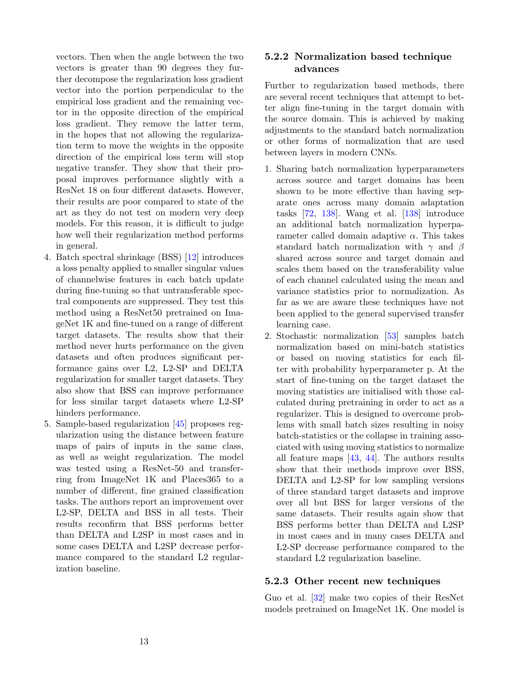vectors. Then when the angle between the two vectors is greater than 90 degrees they further decompose the regularization loss gradient vector into the portion perpendicular to the empirical loss gradient and the remaining vector in the opposite direction of the empirical loss gradient. They remove the latter term, in the hopes that not allowing the regularization term to move the weights in the opposite direction of the empirical loss term will stop negative transfer. They show that their proposal improves performance slightly with a ResNet 18 on four different datasets. However, their results are poor compared to state of the art as they do not test on modern very deep models. For this reason, it is difficult to judge how well their regularization method performs in general.

- 4. Batch spectral shrinkage (BSS) [\[12\]](#page-30-8) introduces a loss penalty applied to smaller singular values of channelwise features in each batch update during fine-tuning so that untransferable spectral components are suppressed. They test this method using a ResNet50 pretrained on ImageNet 1K and fine-tuned on a range of different target datasets. The results show that their method never hurts performance on the given datasets and often produces significant performance gains over L2, L2-SP and DELTA regularization for smaller target datasets. They also show that BSS can improve performance for less similar target datasets where L2-SP hinders performance.
- 5. Sample-based regularization [\[45\]](#page-32-12) proposes regularization using the distance between feature maps of pairs of inputs in the same class, as well as weight regularization. The model was tested using a ResNet-50 and transferring from ImageNet 1K and Places365 to a number of different, fine grained classification tasks. The authors report an improvement over L2-SP, DELTA and BSS in all tests. Their results reconfirm that BSS performs better than DELTA and L2SP in most cases and in some cases DELTA and L2SP decrease performance compared to the standard L2 regularization baseline.

# 5.2.2 Normalization based technique advances

Further to regularization based methods, there are several recent techniques that attempt to better align fine-tuning in the target domain with the source domain. This is achieved by making adjustments to the standard batch normalization or other forms of normalization that are used between layers in modern CNNs.

- 1. Sharing batch normalization hyperparameters across source and target domains has been shown to be more effective than having separate ones across many domain adaptation tasks [\[72,](#page-34-9) [138\]](#page-38-3). Wang et al. [\[138\]](#page-38-3) introduce an additional batch normalization hyperparameter called domain adaptive  $\alpha$ . This takes standard batch normalization with  $\gamma$  and  $\beta$ shared across source and target domain and scales them based on the transferability value of each channel calculated using the mean and variance statistics prior to normalization. As far as we are aware these techniques have not been applied to the general supervised transfer learning case.
- 2. Stochastic normalization [\[53\]](#page-33-11) samples batch normalization based on mini-batch statistics or based on moving statistics for each filter with probability hyperparameter p. At the start of fine-tuning on the target dataset the moving statistics are initialised with those calculated during pretraining in order to act as a regularizer. This is designed to overcome problems with small batch sizes resulting in noisy batch-statistics or the collapse in training associated with using moving statistics to normalize all feature maps [\[43,](#page-32-13) [44\]](#page-32-14). The authors results show that their methods improve over BSS, DELTA and L2-SP for low sampling versions of three standard target datasets and improve over all but BSS for larger versions of the same datasets. Their results again show that BSS performs better than DELTA and L2SP in most cases and in many cases DELTA and L2-SP decrease performance compared to the standard L2 regularization baseline.

## 5.2.3 Other recent new techniques

Guo et al. [\[32\]](#page-31-6) make two copies of their ResNet models pretrained on ImageNet 1K. One model is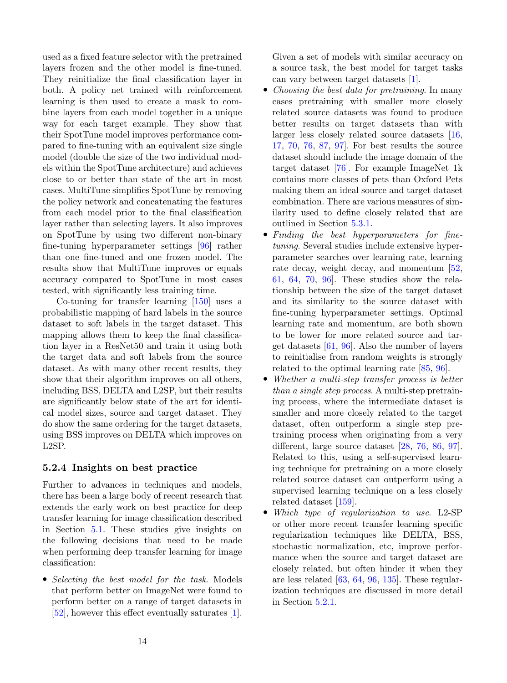used as a fixed feature selector with the pretrained layers frozen and the other model is fine-tuned. They reinitialize the final classification layer in both. A policy net trained with reinforcement learning is then used to create a mask to combine layers from each model together in a unique way for each target example. They show that their SpotTune model improves performance compared to fine-tuning with an equivalent size single model (double the size of the two individual models within the SpotTune architecture) and achieves close to or better than state of the art in most cases. MultiTune simplifies SpotTune by removing the policy network and concatenating the features from each model prior to the final classification layer rather than selecting layers. It also improves on SpotTune by using two different non-binary fine-tuning hyperparameter settings [\[96\]](#page-35-6) rather than one fine-tuned and one frozen model. The results show that MultiTune improves or equals accuracy compared to SpotTune in most cases tested, with significantly less training time.

Co-tuning for transfer learning [\[150\]](#page-38-7) uses a probabilistic mapping of hard labels in the source dataset to soft labels in the target dataset. This mapping allows them to keep the final classification layer in a ResNet50 and train it using both the target data and soft labels from the source dataset. As with many other recent results, they show that their algorithm improves on all others, including BSS, DELTA and L2SP, but their results are significantly below state of the art for identical model sizes, source and target dataset. They do show the same ordering for the target datasets, using BSS improves on DELTA which improves on L2SP.

### <span id="page-13-0"></span>5.2.4 Insights on best practice

Further to advances in techniques and models, there has been a large body of recent research that extends the early work on best practice for deep transfer learning for image classification described in Section [5.1.](#page-10-0) These studies give insights on the following decisions that need to be made when performing deep transfer learning for image classification:

• Selecting the best model for the task. Models that perform better on ImageNet were found to perform better on a range of target datasets in [\[52\]](#page-32-8), however this effect eventually saturates [\[1\]](#page-29-0).

Given a set of models with similar accuracy on a source task, the best model for target tasks can vary between target datasets [\[1\]](#page-29-0).

- Choosing the best data for pretraining. In many cases pretraining with smaller more closely related source datasets was found to produce better results on target datasets than with larger less closely related source datasets [\[16,](#page-30-9) [17,](#page-31-7) [70,](#page-34-2) [76,](#page-34-10) [87,](#page-35-0) [97\]](#page-35-8). For best results the source dataset should include the image domain of the target dataset [\[76\]](#page-34-10). For example ImageNet 1k contains more classes of pets than Oxford Pets making them an ideal source and target dataset combination. There are various measures of similarity used to define closely related that are outlined in Section [5.3.1.](#page-16-0)
- Finding the best hyperparameters for finetuning. Several studies include extensive hyperparameter searches over learning rate, learning rate decay, weight decay, and momentum [\[52,](#page-32-8) [61,](#page-33-7) [64,](#page-33-8) [70,](#page-34-2) [96\]](#page-35-6). These studies show the relationship between the size of the target dataset and its similarity to the source dataset with fine-tuning hyperparameter settings. Optimal learning rate and momentum, are both shown to be lower for more related source and target datasets [\[61,](#page-33-7) [96\]](#page-35-6). Also the number of layers to reinitialise from random weights is strongly related to the optimal learning rate [\[85,](#page-34-4) [96\]](#page-35-6).
- Whether a multi-step transfer process is better than a single step process. A multi-step pretraining process, where the intermediate dataset is smaller and more closely related to the target dataset, often outperform a single step pretraining process when originating from a very different, large source dataset [\[28,](#page-31-8) [76,](#page-34-10) [86,](#page-35-9) [97\]](#page-35-8). Related to this, using a self-supervised learning technique for pretraining on a more closely related source dataset can outperform using a supervised learning technique on a less closely related dataset [\[159\]](#page-39-2).
- Which type of regularization to use. L2-SP or other more recent transfer learning specific regularization techniques like DELTA, BSS, stochastic normalization, etc, improve performance when the source and target dataset are closely related, but often hinder it when they are less related  $[63, 64, 96, 135]$  $[63, 64, 96, 135]$  $[63, 64, 96, 135]$  $[63, 64, 96, 135]$  $[63, 64, 96, 135]$  $[63, 64, 96, 135]$  $[63, 64, 96, 135]$ . These regularization techniques are discussed in more detail in Section [5.2.1.](#page-10-1)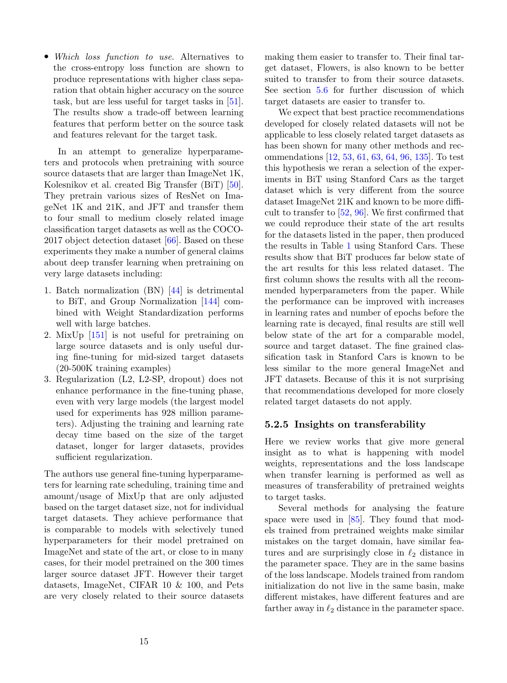• Which loss function to use. Alternatives to the cross-entropy loss function are shown to produce representations with higher class separation that obtain higher accuracy on the source task, but are less useful for target tasks in [\[51\]](#page-32-4). The results show a trade-off between learning features that perform better on the source task and features relevant for the target task.

In an attempt to generalize hyperparameters and protocols when pretraining with source source datasets that are larger than ImageNet 1K, Kolesnikov et al. created Big Transfer (BiT) [\[50\]](#page-32-0). They pretrain various sizes of ResNet on ImageNet 1K and 21K, and JFT and transfer them to four small to medium closely related image classification target datasets as well as the COCO-2017 object detection dataset [\[66\]](#page-33-12). Based on these experiments they make a number of general claims about deep transfer learning when pretraining on very large datasets including:

- 1. Batch normalization (BN) [\[44\]](#page-32-14) is detrimental to BiT, and Group Normalization [\[144\]](#page-38-8) combined with Weight Standardization performs well with large batches.
- 2. MixUp [\[151\]](#page-38-9) is not useful for pretraining on large source datasets and is only useful during fine-tuning for mid-sized target datasets (20-500K training examples)
- 3. Regularization (L2, L2-SP, dropout) does not enhance performance in the fine-tuning phase, even with very large models (the largest model used for experiments has 928 million parameters). Adjusting the training and learning rate decay time based on the size of the target dataset, longer for larger datasets, provides sufficient regularization.

The authors use general fine-tuning hyperparameters for learning rate scheduling, training time and amount/usage of MixUp that are only adjusted based on the target dataset size, not for individual target datasets. They achieve performance that is comparable to models with selectively tuned hyperparameters for their model pretrained on ImageNet and state of the art, or close to in many cases, for their model pretrained on the 300 times larger source dataset JFT. However their target datasets, ImageNet, CIFAR 10 & 100, and Pets are very closely related to their source datasets

making them easier to transfer to. Their final target dataset, Flowers, is also known to be better suited to transfer to from their source datasets. See section [5.6](#page-19-0) for further discussion of which target datasets are easier to transfer to.

We expect that best practice recommendations developed for closely related datasets will not be applicable to less closely related target datasets as has been shown for many other methods and recommendations [\[12,](#page-30-8) [53,](#page-33-11) [61,](#page-33-7) [63,](#page-33-10) [64,](#page-33-8) [96,](#page-35-6) [135\]](#page-37-9). To test this hypothesis we reran a selection of the experiments in BiT using Stanford Cars as the target dataset which is very different from the source dataset ImageNet 21K and known to be more difficult to transfer to [\[52,](#page-32-8) [96\]](#page-35-6). We first confirmed that we could reproduce their state of the art results for the datasets listed in the paper, then produced the results in Table [1](#page-15-0) using Stanford Cars. These results show that BiT produces far below state of the art results for this less related dataset. The first column shows the results with all the recommended hyperparameters from the paper. While the performance can be improved with increases in learning rates and number of epochs before the learning rate is decayed, final results are still well below state of the art for a comparable model, source and target dataset. The fine grained classification task in Stanford Cars is known to be less similar to the more general ImageNet and JFT datasets. Because of this it is not surprising that recommendations developed for more closely related target datasets do not apply.

#### 5.2.5 Insights on transferability

Here we review works that give more general insight as to what is happening with model weights, representations and the loss landscape when transfer learning is performed as well as measures of transferability of pretrained weights to target tasks.

Several methods for analysing the feature space were used in [\[85\]](#page-34-4). They found that models trained from pretrained weights make similar mistakes on the target domain, have similar features and are surprisingly close in  $\ell_2$  distance in the parameter space. They are in the same basins of the loss landscape. Models trained from random initialization do not live in the same basin, make different mistakes, have different features and are farther away in  $\ell_2$  distance in the parameter space.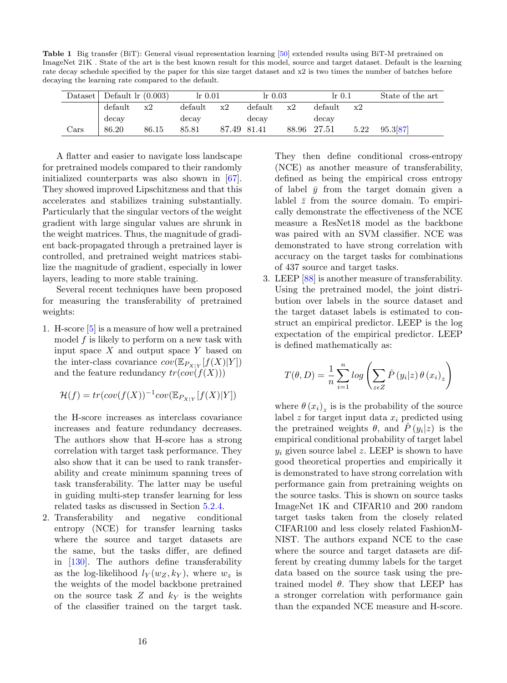<span id="page-15-0"></span>Table 1 Big transfer (BiT): General visual representation learning [\[50\]](#page-32-0) extended results using BiT-M pretrained on ImageNet 21K . State of the art is the best known result for this model, source and target dataset. Default is the learning rate decay schedule specified by the paper for this size target dataset and x2 is two times the number of batches before decaying the learning rate compared to the default.

| Dataset        | Default $\ln(0.003)$ |       | $\ln 0.01$ |             | $\ln 0.03$ |    | $\ln 0.1$   |      | State of the art |
|----------------|----------------------|-------|------------|-------------|------------|----|-------------|------|------------------|
|                | default              | x2    | default    | x2          | default    | x2 | default     | x2   |                  |
|                | decay                |       | decay      |             | decay      |    | decay       |      |                  |
| $_{\rm{Cars}}$ | 86.20                | 86.15 | 85.81      | 87.49 81.41 |            |    | 88.96 27.51 | 5.22 | 95.387           |

A flatter and easier to navigate loss landscape for pretrained models compared to their randomly initialized counterparts was also shown in [\[67\]](#page-33-3). They showed improved Lipschitzness and that this accelerates and stabilizes training substantially. Particularly that the singular vectors of the weight gradient with large singular values are shrunk in the weight matrices. Thus, the magnitude of gradient back-propagated through a pretrained layer is controlled, and pretrained weight matrices stabilize the magnitude of gradient, especially in lower layers, leading to more stable training.

Several recent techniques have been proposed for measuring the transferability of pretrained weights:

1. H-score [\[5\]](#page-30-10) is a measure of how well a pretrained model f is likely to perform on a new task with input space  $X$  and output space  $Y$  based on the inter-class covariance  $cov(\mathbb{E}_{P_{X|Y}}[f(X)|Y])$ and the feature redundancy  $tr(cov(f(X)))$ 

$$
\mathcal{H}(f) = tr(cov(f(X))^{-1} cov(\mathbb{E}_{P_{X|Y}}[f(X)|Y])
$$

the H-score increases as interclass covariance increases and feature redundancy decreases. The authors show that H-score has a strong correlation with target task performance. They also show that it can be used to rank transferability and create minimum spanning trees of task transferability. The latter may be useful in guiding multi-step transfer learning for less related tasks as discussed in Section [5.2.4.](#page-13-0)

2. Transferability and negative conditional entropy (NCE) for transfer learning tasks where the source and target datasets are the same, but the tasks differ, are defined in [\[130\]](#page-37-10). The authors define transferability as the log-likelihood  $l_Y(w_Z, k_Y)$ , where  $w_z$  is the weights of the model backbone pretrained on the source task  $Z$  and  $k_Y$  is the weights of the classifier trained on the target task.

They then define conditional cross-entropy (NCE) as another measure of transferability, defined as being the empirical cross entropy of label  $\bar{y}$  from the target domain given a lablel  $\bar{z}$  from the source domain. To empirically demonstrate the effectiveness of the NCE measure a ResNet18 model as the backbone was paired with an SVM classifier. NCE was demonstrated to have strong correlation with accuracy on the target tasks for combinations of 437 source and target tasks.

3. LEEP [\[88\]](#page-35-10) is another measure of transferability. Using the pretrained model, the joint distribution over labels in the source dataset and the target dataset labels is estimated to construct an empirical predictor. LEEP is the log expectation of the empirical predictor. LEEP is defined mathematically as:

$$
T(\theta, D) = \frac{1}{n} \sum_{i=1}^{n} \log \left( \sum_{z \in Z} \hat{P}(y_i | z) \theta (x_i)_z \right)
$$

where  $\theta(x_i)_z$  is is the probability of the source label z for target input data  $x_i$  predicted using the pretrained weights  $\theta$ , and  $\hat{P}(y_i|z)$  is the empirical conditional probability of target label  $y_i$  given source label z. LEEP is shown to have good theoretical properties and empirically it is demonstrated to have strong correlation with performance gain from pretraining weights on the source tasks. This is shown on source tasks ImageNet 1K and CIFAR10 and 200 random target tasks taken from the closely related CIFAR100 and less closely related FashionM-NIST. The authors expand NCE to the case where the source and target datasets are different by creating dummy labels for the target data based on the source task using the pretrained model  $\theta$ . They show that LEEP has a stronger correlation with performance gain than the expanded NCE measure and H-score.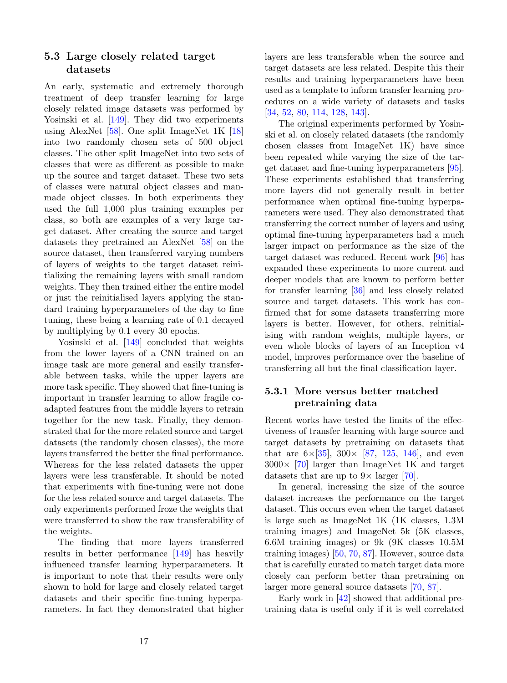# 5.3 Large closely related target datasets

An early, systematic and extremely thorough treatment of deep transfer learning for large closely related image datasets was performed by Yosinski et al. [\[149\]](#page-38-5). They did two experiments using AlexNet [\[58\]](#page-33-0). One split ImageNet 1K [\[18\]](#page-31-2) into two randomly chosen sets of 500 object classes. The other split ImageNet into two sets of classes that were as different as possible to make up the source and target dataset. These two sets of classes were natural object classes and manmade object classes. In both experiments they used the full 1,000 plus training examples per class, so both are examples of a very large target dataset. After creating the source and target datasets they pretrained an AlexNet [\[58\]](#page-33-0) on the source dataset, then transferred varying numbers of layers of weights to the target dataset reinitializing the remaining layers with small random weights. They then trained either the entire model or just the reinitialised layers applying the standard training hyperparameters of the day to fine tuning, these being a learning rate of 0.1 decayed by multiplying by 0.1 every 30 epochs.

Yosinski et al. [\[149\]](#page-38-5) concluded that weights from the lower layers of a CNN trained on an image task are more general and easily transferable between tasks, while the upper layers are more task specific. They showed that fine-tuning is important in transfer learning to allow fragile coadapted features from the middle layers to retrain together for the new task. Finally, they demonstrated that for the more related source and target datasets (the randomly chosen classes), the more layers transferred the better the final performance. Whereas for the less related datasets the upper layers were less transferable. It should be noted that experiments with fine-tuning were not done for the less related source and target datasets. The only experiments performed froze the weights that were transferred to show the raw transferability of the weights.

The finding that more layers transferred results in better performance [\[149\]](#page-38-5) has heavily influenced transfer learning hyperparameters. It is important to note that their results were only shown to hold for large and closely related target datasets and their specific fine-tuning hyperparameters. In fact they demonstrated that higher

layers are less transferable when the source and target datasets are less related. Despite this their results and training hyperparameters have been used as a template to inform transfer learning procedures on a wide variety of datasets and tasks [\[34,](#page-32-10) [52,](#page-32-8) [80,](#page-34-11) [114,](#page-36-6) [128,](#page-37-11) [143\]](#page-38-10).

The original experiments performed by Yosinski et al. on closely related datasets (the randomly chosen classes from ImageNet 1K) have since been repeated while varying the size of the target dataset and fine-tuning hyperparameters [\[95\]](#page-35-2). These experiments established that transferring more layers did not generally result in better performance when optimal fine-tuning hyperparameters were used. They also demonstrated that transferring the correct number of layers and using optimal fine-tuning hyperparameters had a much larger impact on performance as the size of the target dataset was reduced. Recent work [\[96\]](#page-35-6) has expanded these experiments to more current and deeper models that are known to perform better for transfer learning [\[36\]](#page-32-11) and less closely related source and target datasets. This work has confirmed that for some datasets transferring more layers is better. However, for others, reinitialising with random weights, multiple layers, or even whole blocks of layers of an Inception v4 model, improves performance over the baseline of transferring all but the final classification layer.

## <span id="page-16-0"></span>5.3.1 More versus better matched pretraining data

Recent works have tested the limits of the effectiveness of transfer learning with large source and target datasets by pretraining on datasets that that are  $6\times 35$ ,  $300\times 87$ ,  $125$ ,  $146$ , and even  $3000\times$  [\[70\]](#page-34-2) larger than ImageNet 1K and target datasets that are up to  $9 \times$  larger [\[70\]](#page-34-2).

In general, increasing the size of the source dataset increases the performance on the target dataset. This occurs even when the target dataset is large such as ImageNet 1K (1K classes, 1.3M training images) and ImageNet 5k (5K classes, 6.6M training images) or 9k (9K classes 10.5M training images) [\[50,](#page-32-0) [70,](#page-34-2) [87\]](#page-35-0). However, source data that is carefully curated to match target data more closely can perform better than pretraining on larger more general source datasets [\[70,](#page-34-2) [87\]](#page-35-0).

Early work in [\[42\]](#page-32-7) showed that additional pretraining data is useful only if it is well correlated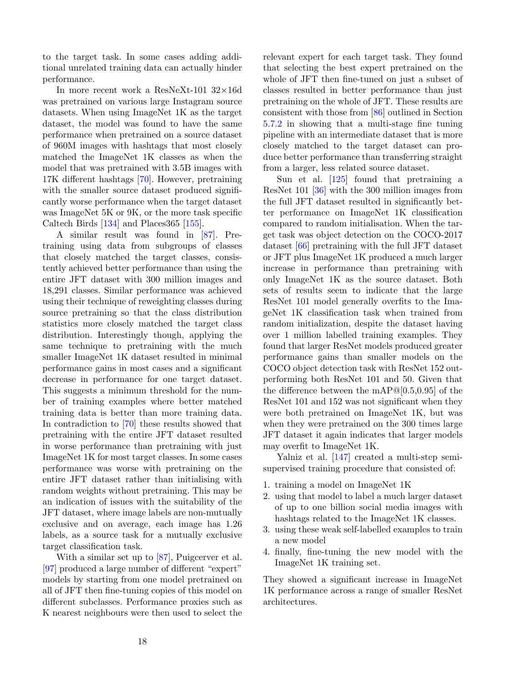to the target task. In some cases adding additional unrelated training data can actually hinder performance.

In more recent work a ResNeXt-101  $32\times16d$ was pretrained on various large Instagram source datasets. When using ImageNet 1K as the target dataset, the model was found to have the same performance when pretrained on a source dataset of 960M images with hashtags that most closely matched the ImageNet 1K classes as when the model that was pretrained with 3.5B images with 17K different hashtags [\[70\]](#page-34-2). However, pretraining with the smaller source dataset produced significantly worse performance when the target dataset was ImageNet 5K or 9K, or the more task specific Caltech Birds [\[134\]](#page-37-6) and Places365 [\[155\]](#page-39-1).

A similar result was found in [\[87\]](#page-35-0). Pretraining using data from subgroups of classes that closely matched the target classes, consistently achieved better performance than using the entire JFT dataset with 300 million images and 18,291 classes. Similar performance was achieved using their technique of reweighting classes during source pretraining so that the class distribution statistics more closely matched the target class distribution. Interestingly though, applying the same technique to pretraining with the much smaller ImageNet 1K dataset resulted in minimal performance gains in most cases and a significant decrease in performance for one target dataset. This suggests a minimum threshold for the number of training examples where better matched training data is better than more training data. In contradiction to [\[70\]](#page-34-2) these results showed that pretraining with the entire JFT dataset resulted in worse performance than pretraining with just ImageNet 1K for most target classes. In some cases performance was worse with pretraining on the entire JFT dataset rather than initialising with random weights without pretraining. This may be an indication of issues with the suitability of the JFT dataset, where image labels are non-mutually exclusive and on average, each image has 1.26 labels, as a source task for a mutually exclusive target classification task.

With a similar set up to [\[87\]](#page-35-0), Puigcerver et al. [\[97\]](#page-35-8) produced a large number of different "expert" models by starting from one model pretrained on all of JFT then fine-tuning copies of this model on different subclasses. Performance proxies such as K nearest neighbours were then used to select the relevant expert for each target task. They found that selecting the best expert pretrained on the whole of JFT then fine-tuned on just a subset of classes resulted in better performance than just pretraining on the whole of JFT. These results are consistent with those from [\[86\]](#page-35-9) outlined in Section [5.7.2](#page-22-0) in showing that a multi-stage fine tuning pipeline with an intermediate dataset that is more closely matched to the target dataset can produce better performance than transferring straight from a larger, less related source dataset.

Sun et al. [\[125\]](#page-37-4) found that pretraining a ResNet 101 [\[36\]](#page-32-11) with the 300 million images from the full JFT dataset resulted in significantly better performance on ImageNet 1K classification compared to random initialisation. When the target task was object detection on the COCO-2017 dataset [\[66\]](#page-33-12) pretraining with the full JFT dataset or JFT plus ImageNet 1K produced a much larger increase in performance than pretraining with only ImageNet 1K as the source dataset. Both sets of results seem to indicate that the large ResNet 101 model generally overfits to the ImageNet 1K classification task when trained from random initialization, despite the dataset having over 1 million labelled training examples. They found that larger ResNet models produced greater performance gains than smaller models on the COCO object detection task with ResNet 152 outperforming both ResNet 101 and 50. Given that the difference between the mAP@[0.5,0.95] of the ResNet 101 and 152 was not significant when they were both pretrained on ImageNet 1K, but was when they were pretrained on the 300 times large JFT dataset it again indicates that larger models may overfit to ImageNet 1K.

Yalniz et al. [\[147\]](#page-38-12) created a multi-step semisupervised training procedure that consisted of:

- 1. training a model on ImageNet 1K
- 2. using that model to label a much larger dataset of up to one billion social media images with hashtags related to the ImageNet 1K classes.
- 3. using these weak self-labelled examples to train a new model
- 4. finally, fine-tuning the new model with the ImageNet 1K training set.

They showed a significant increase in ImageNet 1K performance across a range of smaller ResNet architectures.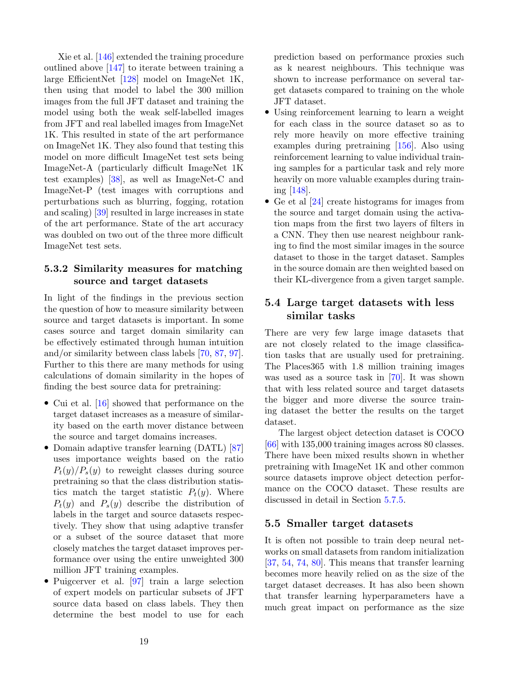Xie et al. [\[146\]](#page-38-11) extended the training procedure outlined above [\[147\]](#page-38-12) to iterate between training a large EfficientNet [\[128\]](#page-37-11) model on ImageNet 1K, then using that model to label the 300 million images from the full JFT dataset and training the model using both the weak self-labelled images from JFT and real labelled images from ImageNet 1K. This resulted in state of the art performance on ImageNet 1K. They also found that testing this model on more difficult ImageNet test sets being ImageNet-A (particularly difficult ImageNet 1K test examples) [\[38\]](#page-32-16), as well as ImageNet-C and ImageNet-P (test images with corruptions and perturbations such as blurring, fogging, rotation and scaling) [\[39\]](#page-32-17) resulted in large increases in state of the art performance. State of the art accuracy was doubled on two out of the three more difficult ImageNet test sets.

## 5.3.2 Similarity measures for matching source and target datasets

In light of the findings in the previous section the question of how to measure similarity between source and target datasets is important. In some cases source and target domain similarity can be effectively estimated through human intuition and/or similarity between class labels [\[70,](#page-34-2) [87,](#page-35-0) [97\]](#page-35-8). Further to this there are many methods for using calculations of domain similarity in the hopes of finding the best source data for pretraining:

- Cui et al. [\[16\]](#page-30-9) showed that performance on the target dataset increases as a measure of similarity based on the earth mover distance between the source and target domains increases.
- Domain adaptive transfer learning (DATL) [\[87\]](#page-35-0) uses importance weights based on the ratio  $P_t(y)/P_s(y)$  to reweight classes during source pretraining so that the class distribution statistics match the target statistic  $P_t(y)$ . Where  $P_t(y)$  and  $P_s(y)$  describe the distribution of labels in the target and source datasets respectively. They show that using adaptive transfer or a subset of the source dataset that more closely matches the target dataset improves performance over using the entire unweighted 300 million JFT training examples.
- Puigcerver et al. [\[97\]](#page-35-8) train a large selection of expert models on particular subsets of JFT source data based on class labels. They then determine the best model to use for each

prediction based on performance proxies such as k nearest neighbours. This technique was shown to increase performance on several target datasets compared to training on the whole JFT dataset.

- Using reinforcement learning to learn a weight for each class in the source dataset so as to rely more heavily on more effective training examples during pretraining [\[156\]](#page-39-3). Also using reinforcement learning to value individual training samples for a particular task and rely more heavily on more valuable examples during training [\[148\]](#page-38-13).
- Ge et al [\[24\]](#page-31-9) create histograms for images from the source and target domain using the activation maps from the first two layers of filters in a CNN. They then use nearest neighbour ranking to find the most similar images in the source dataset to those in the target dataset. Samples in the source domain are then weighted based on their KL-divergence from a given target sample.

# 5.4 Large target datasets with less similar tasks

There are very few large image datasets that are not closely related to the image classification tasks that are usually used for pretraining. The Places365 with 1.8 million training images was used as a source task in [\[70\]](#page-34-2). It was shown that with less related source and target datasets the bigger and more diverse the source training dataset the better the results on the target dataset.

The largest object detection dataset is COCO [\[66\]](#page-33-12) with 135,000 training images across 80 classes. There have been mixed results shown in whether pretraining with ImageNet 1K and other common source datasets improve object detection performance on the COCO dataset. These results are discussed in detail in Section [5.7.5.](#page-23-0)

### 5.5 Smaller target datasets

It is often not possible to train deep neural networks on small datasets from random initialization [\[37,](#page-32-9) [54,](#page-33-13) [74,](#page-34-1) [80\]](#page-34-11). This means that transfer learning becomes more heavily relied on as the size of the target dataset decreases. It has also been shown that transfer learning hyperparameters have a much great impact on performance as the size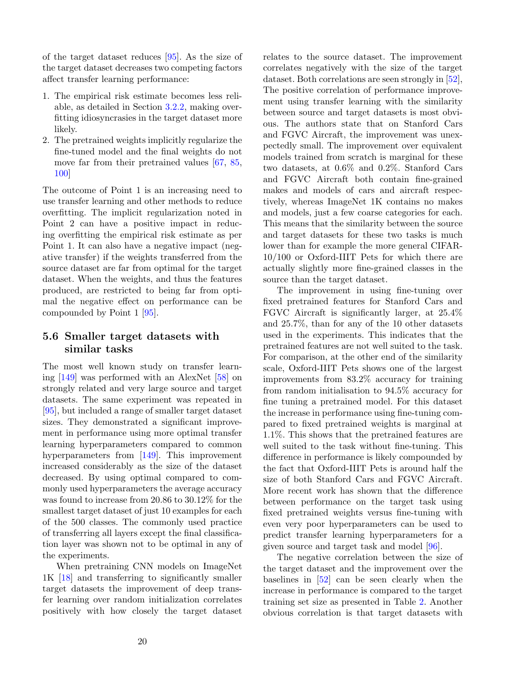of the target dataset reduces [\[95\]](#page-35-2). As the size of the target dataset decreases two competing factors affect transfer learning performance:

- 1. The empirical risk estimate becomes less reliable, as detailed in Section [3.2.2,](#page-5-0) making overfitting idiosyncrasies in the target dataset more likely.
- 2. The pretrained weights implicitly regularize the fine-tuned model and the final weights do not move far from their pretrained values [\[67,](#page-33-3) [85,](#page-34-4) [100\]](#page-35-7)

The outcome of Point 1 is an increasing need to use transfer learning and other methods to reduce overfitting. The implicit regularization noted in Point 2 can have a positive impact in reducing overfitting the empirical risk estimate as per Point 1. It can also have a negative impact (negative transfer) if the weights transferred from the source dataset are far from optimal for the target dataset. When the weights, and thus the features produced, are restricted to being far from optimal the negative effect on performance can be compounded by Point 1 [\[95\]](#page-35-2).

# <span id="page-19-0"></span>5.6 Smaller target datasets with similar tasks

The most well known study on transfer learning [\[149\]](#page-38-5) was performed with an AlexNet [\[58\]](#page-33-0) on strongly related and very large source and target datasets. The same experiment was repeated in [\[95\]](#page-35-2), but included a range of smaller target dataset sizes. They demonstrated a significant improvement in performance using more optimal transfer learning hyperparameters compared to common hyperparameters from [\[149\]](#page-38-5). This improvement increased considerably as the size of the dataset decreased. By using optimal compared to commonly used hyperparameters the average accuracy was found to increase from 20.86 to 30.12% for the smallest target dataset of just 10 examples for each of the 500 classes. The commonly used practice of transferring all layers except the final classification layer was shown not to be optimal in any of the experiments.

When pretraining CNN models on ImageNet 1K [\[18\]](#page-31-2) and transferring to significantly smaller target datasets the improvement of deep transfer learning over random initialization correlates positively with how closely the target dataset

relates to the source dataset. The improvement correlates negatively with the size of the target dataset. Both correlations are seen strongly in [\[52\]](#page-32-8), The positive correlation of performance improvement using transfer learning with the similarity between source and target datasets is most obvious. The authors state that on Stanford Cars and FGVC Aircraft, the improvement was unexpectedly small. The improvement over equivalent models trained from scratch is marginal for these two datasets, at 0.6% and 0.2%. Stanford Cars and FGVC Aircraft both contain fine-grained makes and models of cars and aircraft respectively, whereas ImageNet 1K contains no makes and models, just a few coarse categories for each. This means that the similarity between the source and target datasets for these two tasks is much lower than for example the more general CIFAR-10/100 or Oxford-IIIT Pets for which there are actually slightly more fine-grained classes in the source than the target dataset.

The improvement in using fine-tuning over fixed pretrained features for Stanford Cars and FGVC Aircraft is significantly larger, at 25.4% and 25.7%, than for any of the 10 other datasets used in the experiments. This indicates that the pretrained features are not well suited to the task. For comparison, at the other end of the similarity scale, Oxford-IIIT Pets shows one of the largest improvements from 83.2% accuracy for training from random initialisation to 94.5% accuracy for fine tuning a pretrained model. For this dataset the increase in performance using fine-tuning compared to fixed pretrained weights is marginal at 1.1%. This shows that the pretrained features are well suited to the task without fine-tuning. This difference in performance is likely compounded by the fact that Oxford-IIIT Pets is around half the size of both Stanford Cars and FGVC Aircraft. More recent work has shown that the difference between performance on the target task using fixed pretrained weights versus fine-tuning with even very poor hyperparameters can be used to predict transfer learning hyperparameters for a given source and target task and model [\[96\]](#page-35-6).

The negative correlation between the size of the target dataset and the improvement over the baselines in [\[52\]](#page-32-8) can be seen clearly when the increase in performance is compared to the target training set size as presented in Table [2.](#page-21-0) Another obvious correlation is that target datasets with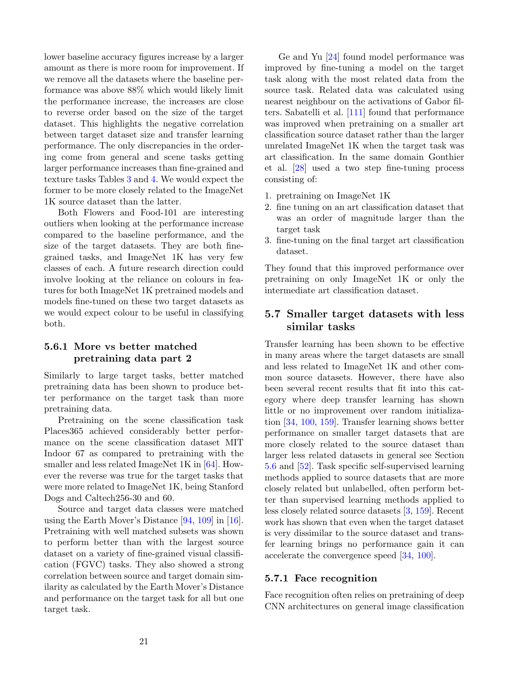lower baseline accuracy figures increase by a larger amount as there is more room for improvement. If we remove all the datasets where the baseline performance was above 88% which would likely limit the performance increase, the increases are close to reverse order based on the size of the target dataset. This highlights the negative correlation between target dataset size and transfer learning performance. The only discrepancies in the ordering come from general and scene tasks getting larger performance increases than fine-grained and texture tasks Tables [3](#page-21-1) and [4.](#page-22-1) We would expect the former to be more closely related to the ImageNet 1K source dataset than the latter.

Both Flowers and Food-101 are interesting outliers when looking at the performance increase compared to the baseline performance, and the size of the target datasets. They are both finegrained tasks, and ImageNet 1K has very few classes of each. A future research direction could involve looking at the reliance on colours in features for both ImageNet 1K pretrained models and models fine-tuned on these two target datasets as we would expect colour to be useful in classifying both.

## <span id="page-20-1"></span>5.6.1 More vs better matched pretraining data part 2

Similarly to large target tasks, better matched pretraining data has been shown to produce better performance on the target task than more pretraining data.

Pretraining on the scene classification task Places365 achieved considerably better performance on the scene classification dataset MIT Indoor 67 as compared to pretraining with the smaller and less related ImageNet 1K in [\[64\]](#page-33-8). However the reverse was true for the target tasks that were more related to ImageNet 1K, being Stanford Dogs and Caltech256-30 and 60.

Source and target data classes were matched using the Earth Mover's Distance [\[94,](#page-35-11) [109\]](#page-36-7) in [\[16\]](#page-30-9). Pretraining with well matched subsets was shown to perform better than with the largest source dataset on a variety of fine-grained visual classification (FGVC) tasks. They also showed a strong correlation between source and target domain similarity as calculated by the Earth Mover's Distance and performance on the target task for all but one target task.

Ge and Yu [\[24\]](#page-31-9) found model performance was improved by fine-tuning a model on the target task along with the most related data from the source task. Related data was calculated using nearest neighbour on the activations of Gabor filters. Sabatelli et al. [\[111\]](#page-36-8) found that performance was improved when pretraining on a smaller art classification source dataset rather than the larger unrelated ImageNet 1K when the target task was art classification. In the same domain Gonthier et al. [\[28\]](#page-31-8) used a two step fine-tuning process consisting of:

- 1. pretraining on ImageNet 1K
- 2. fine tuning on an art classification dataset that was an order of magnitude larger than the target task
- 3. fine-tuning on the final target art classification dataset.

They found that this improved performance over pretraining on only ImageNet 1K or only the intermediate art classification dataset.

# <span id="page-20-0"></span>5.7 Smaller target datasets with less similar tasks

Transfer learning has been shown to be effective in many areas where the target datasets are small and less related to ImageNet 1K and other common source datasets. However, there have also been several recent results that fit into this category where deep transfer learning has shown little or no improvement over random initialization [\[34,](#page-32-10) [100,](#page-35-7) [159\]](#page-39-2). Transfer learning shows better performance on smaller target datasets that are more closely related to the source dataset than larger less related datasets in general see Section [5.6](#page-19-0) and [\[52\]](#page-32-8). Task specific self-supervised learning methods applied to source datasets that are more closely related but unlabelled, often perform better than supervised learning methods applied to less closely related source datasets [\[3,](#page-30-11) [159\]](#page-39-2). Recent work has shown that even when the target dataset is very dissimilar to the source dataset and transfer learning brings no performance gain it can accelerate the convergence speed [\[34,](#page-32-10) [100\]](#page-35-7).

### 5.7.1 Face recognition

Face recognition often relies on pretraining of deep CNN architectures on general image classification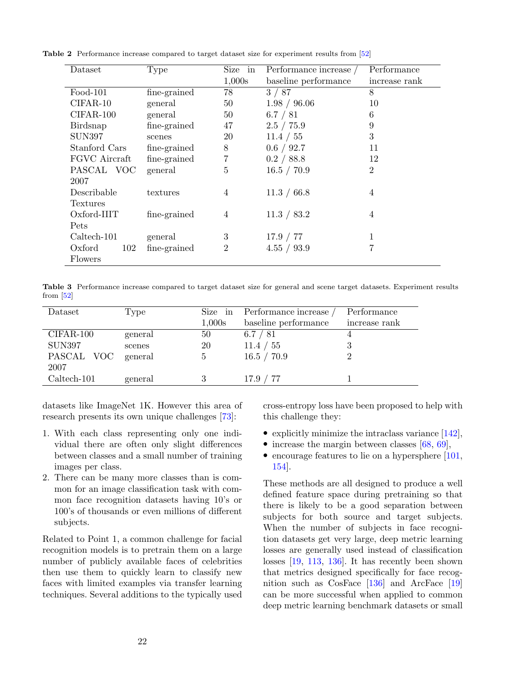<span id="page-21-0"></span>

| Dataset       | Type                  | Size in        | Performance increase $\slash$ | Performance    |
|---------------|-----------------------|----------------|-------------------------------|----------------|
|               |                       | 1,000s         | baseline performance          | increase rank  |
| $Food-101$    | $fine\text{-}grained$ | 78             | 3/87                          | 8              |
| $CIFAR-10$    | general               | 50             | 1.98 / 96.06                  | 10             |
| CIFAR-100     | general               | 50             | 6.7 / 81                      | 6              |
| Birdsnap      | fine-grained          | 47             | 2.5 / 75.9                    | 9              |
| <b>SUN397</b> | scenes                | 20             | 11.4 / 55                     | 3              |
| Stanford Cars | fine-grained          | 8              | 0.6 / 92.7                    | 11             |
| FGVC Aircraft | fine-grained          | $\overline{7}$ | 0.2 / 88.8                    | 12             |
| PASCAL VOC    | general               | 5              | 16.5 / 70.9                   | $\overline{2}$ |
| 2007          |                       |                |                               |                |
| Describable   | textures              | 4              | 11.3 / 66.8                   | 4              |
| Textures      |                       |                |                               |                |
| $Oxford-IIIT$ | fine-grained          | 4              | 11.3 / 83.2                   | 4              |
| Pets          |                       |                |                               |                |
| $Caltech-101$ | general               | 3              | 17.9 / 77                     | 1              |
| Oxford<br>102 | fine-grained          | $\overline{2}$ | 4.55 / 93.9                   |                |
| Flowers       |                       |                |                               |                |

Table 2 Performance increase compared to target dataset size for experiment results from [\[52\]](#page-32-8)

<span id="page-21-1"></span>Table 3 Performance increase compared to target dataset size for general and scene target datasets. Experiment results from [\[52\]](#page-32-8)

| Dataset       | Type    | Size in     | Performance increase | Performance   |
|---------------|---------|-------------|----------------------|---------------|
|               |         | 1,000s      | baseline performance | increase rank |
| CIFAR-100     | general | 50          | 6.7 / 81             |               |
| SUN397        | scenes  | 20          | ' 55<br>11.4/        | З             |
| PASCAL VOC    | general | $\mathbf b$ | 16.5 / 70.9          |               |
| 2007          |         |             |                      |               |
| $Caltech-101$ | general |             | 17.9 / 77            |               |

datasets like ImageNet 1K. However this area of research presents its own unique challenges [\[73\]](#page-34-0):

- 1. With each class representing only one individual there are often only slight differences between classes and a small number of training images per class.
- 2. There can be many more classes than is common for an image classification task with common face recognition datasets having 10's or 100's of thousands or even millions of different subjects.

Related to Point 1, a common challenge for facial recognition models is to pretrain them on a large number of publicly available faces of celebrities then use them to quickly learn to classify new faces with limited examples via transfer learning techniques. Several additions to the typically used cross-entropy loss have been proposed to help with this challenge they:

- explicitly minimize the intraclass variance  $[142]$ ,
- increase the margin between classes  $[68, 69]$  $[68, 69]$  $[68, 69]$ ,
- encourage features to lie on a hypersphere [\[101,](#page-35-12) [154\]](#page-39-4).

These methods are all designed to produce a well defined feature space during pretraining so that there is likely to be a good separation between subjects for both source and target subjects. When the number of subjects in face recognition datasets get very large, deep metric learning losses are generally used instead of classification losses [\[19,](#page-31-10) [113,](#page-36-9) [136\]](#page-37-12). It has recently been shown that metrics designed specifically for face recognition such as CosFace [\[136\]](#page-37-12) and ArcFace [\[19\]](#page-31-10) can be more successful when applied to common deep metric learning benchmark datasets or small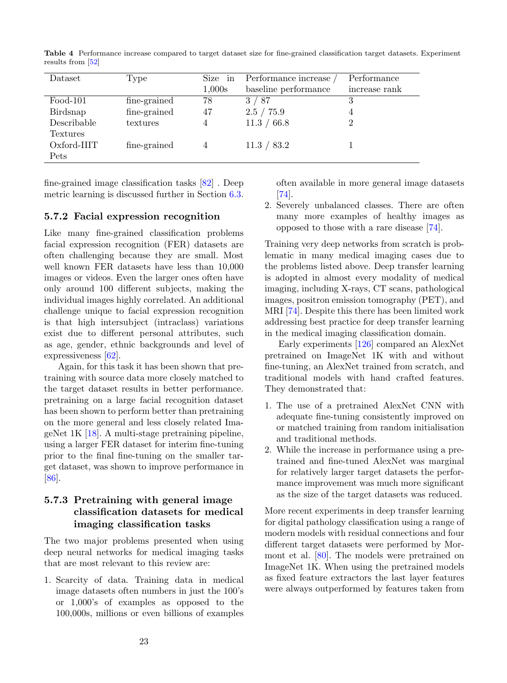| Dataset       | Type         | Size in        | Performance increase | Performance   |
|---------------|--------------|----------------|----------------------|---------------|
|               |              | 1,000s         | baseline performance | increase rank |
| $Food-101$    | fine-grained | 78             | 3/87                 |               |
| Birdsnap      | fine-grained | 47             | 2.5 / 75.9           | 4             |
| Describable   | textures     | $\overline{4}$ | 11.3 / 66.8          | റ             |
| Textures      |              |                |                      |               |
| $Oxford-IIIT$ | fine-grained | 4              | 11.3 / 83.2          |               |
| Pets          |              |                |                      |               |

<span id="page-22-1"></span>Table 4 Performance increase compared to target dataset size for fine-grained classification target datasets. Experiment results from [\[52\]](#page-32-8)

fine-grained image classification tasks [\[82\]](#page-34-13) . Deep metric learning is discussed further in Section [6.3.](#page-26-0)

#### <span id="page-22-0"></span>5.7.2 Facial expression recognition

Like many fine-grained classification problems facial expression recognition (FER) datasets are often challenging because they are small. Most well known FER datasets have less than 10,000 images or videos. Even the larger ones often have only around 100 different subjects, making the individual images highly correlated. An additional challenge unique to facial expression recognition is that high intersubject (intraclass) variations exist due to different personal attributes, such as age, gender, ethnic backgrounds and level of expressiveness [\[62\]](#page-33-1).

Again, for this task it has been shown that pretraining with source data more closely matched to the target dataset results in better performance. pretraining on a large facial recognition dataset has been shown to perform better than pretraining on the more general and less closely related ImageNet 1K [\[18\]](#page-31-2). A multi-stage pretraining pipeline, using a larger FER dataset for interim fine-tuning prior to the final fine-tuning on the smaller target dataset, was shown to improve performance in [\[86\]](#page-35-9).

## 5.7.3 Pretraining with general image classification datasets for medical imaging classification tasks

The two major problems presented when using deep neural networks for medical imaging tasks that are most relevant to this review are:

1. Scarcity of data. Training data in medical image datasets often numbers in just the 100's or 1,000's of examples as opposed to the 100,000s, millions or even billions of examples

often available in more general image datasets [\[74\]](#page-34-1).

2. Severely unbalanced classes. There are often many more examples of healthy images as opposed to those with a rare disease [\[74\]](#page-34-1).

Training very deep networks from scratch is problematic in many medical imaging cases due to the problems listed above. Deep transfer learning is adopted in almost every modality of medical imaging, including X-rays, CT scans, pathological images, positron emission tomography (PET), and MRI [\[74\]](#page-34-1). Despite this there has been limited work addressing best practice for deep transfer learning in the medical imaging classification domain.

Early experiments [\[126\]](#page-37-13) compared an AlexNet pretrained on ImageNet 1K with and without fine-tuning, an AlexNet trained from scratch, and traditional models with hand crafted features. They demonstrated that:

- 1. The use of a pretrained AlexNet CNN with adequate fine-tuning consistently improved on or matched training from random initialisation and traditional methods.
- 2. While the increase in performance using a pretrained and fine-tuned AlexNet was marginal for relatively larger target datasets the performance improvement was much more significant as the size of the target datasets was reduced.

More recent experiments in deep transfer learning for digital pathology classification using a range of modern models with residual connections and four different target datasets were performed by Mormont et al. [\[80\]](#page-34-11). The models were pretrained on ImageNet 1K. When using the pretrained models as fixed feature extractors the last layer features were always outperformed by features taken from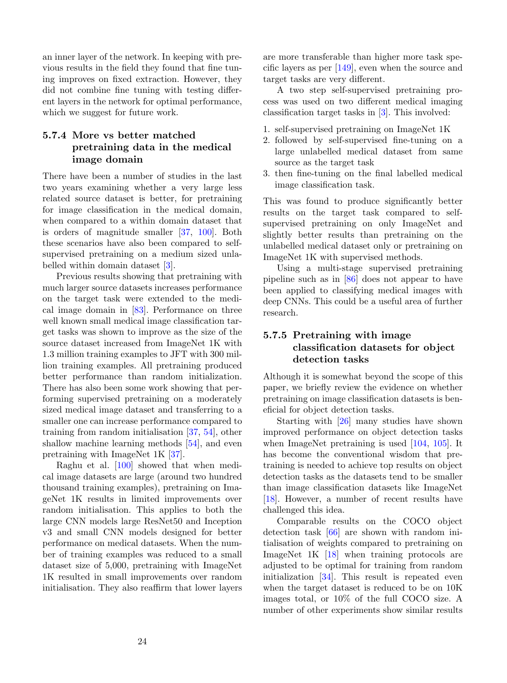an inner layer of the network. In keeping with previous results in the field they found that fine tuning improves on fixed extraction. However, they did not combine fine tuning with testing different layers in the network for optimal performance, which we suggest for future work.

# 5.7.4 More vs better matched pretraining data in the medical image domain

There have been a number of studies in the last two years examining whether a very large less related source dataset is better, for pretraining for image classification in the medical domain, when compared to a within domain dataset that is orders of magnitude smaller [\[37,](#page-32-9) [100\]](#page-35-7). Both these scenarios have also been compared to selfsupervised pretraining on a medium sized unlabelled within domain dataset [\[3\]](#page-30-11).

Previous results showing that pretraining with much larger source datasets increases performance on the target task were extended to the medical image domain in [\[83\]](#page-34-14). Performance on three well known small medical image classification target tasks was shown to improve as the size of the source dataset increased from ImageNet 1K with 1.3 million training examples to JFT with 300 million training examples. All pretraining produced better performance than random initialization. There has also been some work showing that performing supervised pretraining on a moderately sized medical image dataset and transferring to a smaller one can increase performance compared to training from random initialisation [\[37,](#page-32-9) [54\]](#page-33-13), other shallow machine learning methods [\[54\]](#page-33-13), and even pretraining with ImageNet 1K [\[37\]](#page-32-9).

Raghu et al. [\[100\]](#page-35-7) showed that when medical image datasets are large (around two hundred thousand training examples), pretraining on ImageNet 1K results in limited improvements over random initialisation. This applies to both the large CNN models large ResNet50 and Inception v3 and small CNN models designed for better performance on medical datasets. When the number of training examples was reduced to a small dataset size of 5,000, pretraining with ImageNet 1K resulted in small improvements over random initialisation. They also reaffirm that lower layers

are more transferable than higher more task specific layers as per  $[149]$ , even when the source and target tasks are very different.

A two step self-supervised pretraining process was used on two different medical imaging classification target tasks in [\[3\]](#page-30-11). This involved:

- 1. self-supervised pretraining on ImageNet 1K
- 2. followed by self-supervised fine-tuning on a large unlabelled medical dataset from same source as the target task
- 3. then fine-tuning on the final labelled medical image classification task.

This was found to produce significantly better results on the target task compared to selfsupervised pretraining on only ImageNet and slightly better results than pretraining on the unlabelled medical dataset only or pretraining on ImageNet 1K with supervised methods.

Using a multi-stage supervised pretraining pipeline such as in [\[86\]](#page-35-9) does not appear to have been applied to classifying medical images with deep CNNs. This could be a useful area of further research.

## <span id="page-23-0"></span>5.7.5 Pretraining with image classification datasets for object detection tasks

Although it is somewhat beyond the scope of this paper, we briefly review the evidence on whether pretraining on image classification datasets is beneficial for object detection tasks.

Starting with [\[26\]](#page-31-0) many studies have shown improved performance on object detection tasks when ImageNet pretraining is used [\[104,](#page-36-10) [105\]](#page-36-11). It has become the conventional wisdom that pretraining is needed to achieve top results on object detection tasks as the datasets tend to be smaller than image classification datasets like ImageNet [\[18\]](#page-31-2). However, a number of recent results have challenged this idea.

Comparable results on the COCO object detection task [\[66\]](#page-33-12) are shown with random initialisation of weights compared to pretraining on ImageNet 1K [\[18\]](#page-31-2) when training protocols are adjusted to be optimal for training from random initialization [\[34\]](#page-32-10). This result is repeated even when the target dataset is reduced to be on 10K images total, or 10% of the full COCO size. A number of other experiments show similar results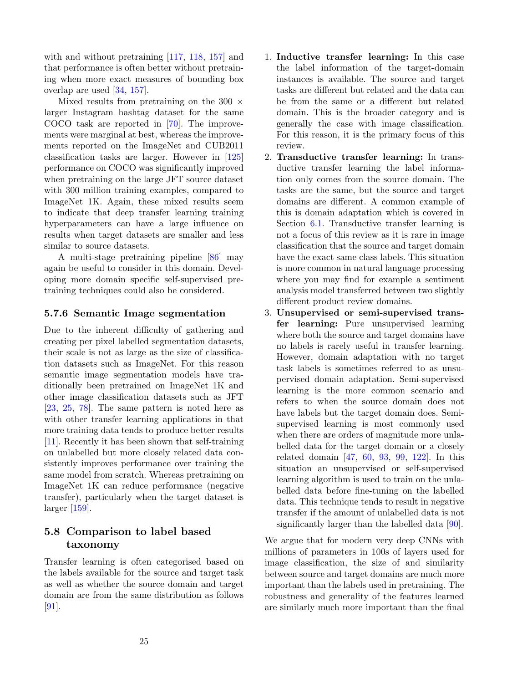with and without pretraining [\[117,](#page-36-12) [118,](#page-36-13) [157\]](#page-39-5) and that performance is often better without pretraining when more exact measures of bounding box overlap are used [\[34,](#page-32-10) [157\]](#page-39-5).

Mixed results from pretraining on the 300  $\times$ larger Instagram hashtag dataset for the same COCO task are reported in [\[70\]](#page-34-2). The improvements were marginal at best, whereas the improvements reported on the ImageNet and CUB2011 classification tasks are larger. However in [\[125\]](#page-37-4) performance on COCO was significantly improved when pretraining on the large JFT source dataset with 300 million training examples, compared to ImageNet 1K. Again, these mixed results seem to indicate that deep transfer learning training hyperparameters can have a large influence on results when target datasets are smaller and less similar to source datasets.

A multi-stage pretraining pipeline [\[86\]](#page-35-9) may again be useful to consider in this domain. Developing more domain specific self-supervised pretraining techniques could also be considered.

#### 5.7.6 Semantic Image segmentation

Due to the inherent difficulty of gathering and creating per pixel labelled segmentation datasets, their scale is not as large as the size of classification datasets such as ImageNet. For this reason semantic image segmentation models have traditionally been pretrained on ImageNet 1K and other image classification datasets such as JFT [\[23,](#page-31-11) [25,](#page-31-12) [78\]](#page-34-15). The same pattern is noted here as with other transfer learning applications in that more training data tends to produce better results [\[11\]](#page-30-12). Recently it has been shown that self-training on unlabelled but more closely related data consistently improves performance over training the same model from scratch. Whereas pretraining on ImageNet 1K can reduce performance (negative transfer), particularly when the target dataset is larger [\[159\]](#page-39-2).

# <span id="page-24-0"></span>5.8 Comparison to label based taxonomy

Transfer learning is often categorised based on the labels available for the source and target task as well as whether the source domain and target domain are from the same distribution as follows [\[91\]](#page-35-1).

- 1. Inductive transfer learning: In this case the label information of the target-domain instances is available. The source and target tasks are different but related and the data can be from the same or a different but related domain. This is the broader category and is generally the case with image classification. For this reason, it is the primary focus of this review.
- 2. Transductive transfer learning: In transductive transfer learning the label information only comes from the source domain. The tasks are the same, but the source and target domains are different. A common example of this is domain adaptation which is covered in Section [6.1.](#page-25-1) Transductive transfer learning is not a focus of this review as it is rare in image classification that the source and target domain have the exact same class labels. This situation is more common in natural language processing where you may find for example a sentiment analysis model transferred between two slightly different product review domains.
- 3. Unsupervised or semi-supervised transfer learning: Pure unsupervised learning where both the source and target domains have no labels is rarely useful in transfer learning. However, domain adaptation with no target task labels is sometimes referred to as unsupervised domain adaptation. Semi-supervised learning is the more common scenario and refers to when the source domain does not have labels but the target domain does. Semisupervised learning is most commonly used when there are orders of magnitude more unlabelled data for the target domain or a closely related domain [\[47,](#page-32-18) [60,](#page-33-15) [93,](#page-35-13) [99,](#page-35-14) [122\]](#page-37-14). In this situation an unsupervised or self-supervised learning algorithm is used to train on the unlabelled data before fine-tuning on the labelled data. This technique tends to result in negative transfer if the amount of unlabelled data is not significantly larger than the labelled data [\[90\]](#page-35-15).

We argue that for modern very deep CNNs with millions of parameters in 100s of layers used for image classification, the size of and similarity between source and target domains are much more important than the labels used in pretraining. The robustness and generality of the features learned are similarly much more important than the final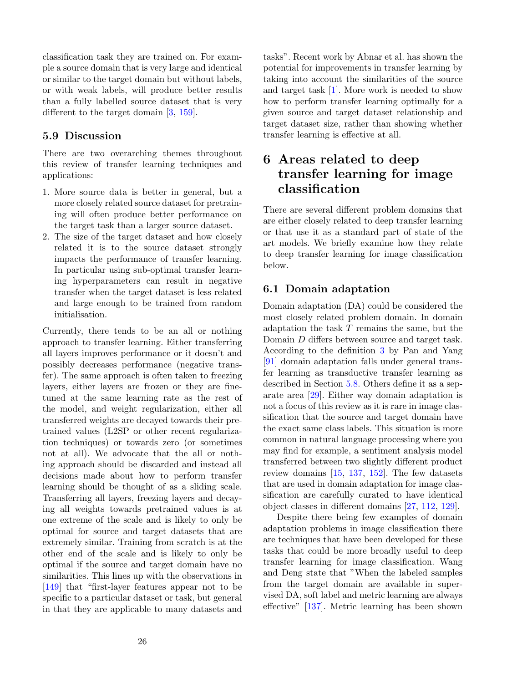classification task they are trained on. For example a source domain that is very large and identical or similar to the target domain but without labels, or with weak labels, will produce better results than a fully labelled source dataset that is very different to the target domain [\[3,](#page-30-11) [159\]](#page-39-2).

## 5.9 Discussion

There are two overarching themes throughout this review of transfer learning techniques and applications:

- 1. More source data is better in general, but a more closely related source dataset for pretraining will often produce better performance on the target task than a larger source dataset.
- 2. The size of the target dataset and how closely related it is to the source dataset strongly impacts the performance of transfer learning. In particular using sub-optimal transfer learning hyperparameters can result in negative transfer when the target dataset is less related and large enough to be trained from random initialisation.

Currently, there tends to be an all or nothing approach to transfer learning. Either transferring all layers improves performance or it doesn't and possibly decreases performance (negative transfer). The same approach is often taken to freezing layers, either layers are frozen or they are finetuned at the same learning rate as the rest of the model, and weight regularization, either all transferred weights are decayed towards their pretrained values (L2SP or other recent regularization techniques) or towards zero (or sometimes not at all). We advocate that the all or nothing approach should be discarded and instead all decisions made about how to perform transfer learning should be thought of as a sliding scale. Transferring all layers, freezing layers and decaying all weights towards pretrained values is at one extreme of the scale and is likely to only be optimal for source and target datasets that are extremely similar. Training from scratch is at the other end of the scale and is likely to only be optimal if the source and target domain have no similarities. This lines up with the observations in [\[149\]](#page-38-5) that "first-layer features appear not to be specific to a particular dataset or task, but general in that they are applicable to many datasets and tasks". Recent work by Abnar et al. has shown the potential for improvements in transfer learning by taking into account the similarities of the source and target task [\[1\]](#page-29-0). More work is needed to show how to perform transfer learning optimally for a given source and target dataset relationship and target dataset size, rather than showing whether transfer learning is effective at all.

# <span id="page-25-0"></span>6 Areas related to deep transfer learning for image classification

There are several different problem domains that are either closely related to deep transfer learning or that use it as a standard part of state of the art models. We briefly examine how they relate to deep transfer learning for image classification below.

## <span id="page-25-1"></span>6.1 Domain adaptation

Domain adaptation (DA) could be considered the most closely related problem domain. In domain adaptation the task  $T$  remains the same, but the Domain D differs between source and target task. According to the definition [3](#page-5-2) by Pan and Yang [\[91\]](#page-35-1) domain adaptation falls under general transfer learning as transductive transfer learning as described in Section [5.8.](#page-24-0) Others define it as a separate area [\[29\]](#page-31-1). Either way domain adaptation is not a focus of this review as it is rare in image classification that the source and target domain have the exact same class labels. This situation is more common in natural language processing where you may find for example, a sentiment analysis model transferred between two slightly different product review domains [\[15,](#page-30-13) [137,](#page-38-15) [152\]](#page-38-16). The few datasets that are used in domain adaptation for image classification are carefully curated to have identical object classes in different domains [\[27,](#page-31-13) [112,](#page-36-14) [129\]](#page-37-15).

Despite there being few examples of domain adaptation problems in image classification there are techniques that have been developed for these tasks that could be more broadly useful to deep transfer learning for image classification. Wang and Deng state that "When the labeled samples from the target domain are available in supervised DA, soft label and metric learning are always effective" [\[137\]](#page-38-15). Metric learning has been shown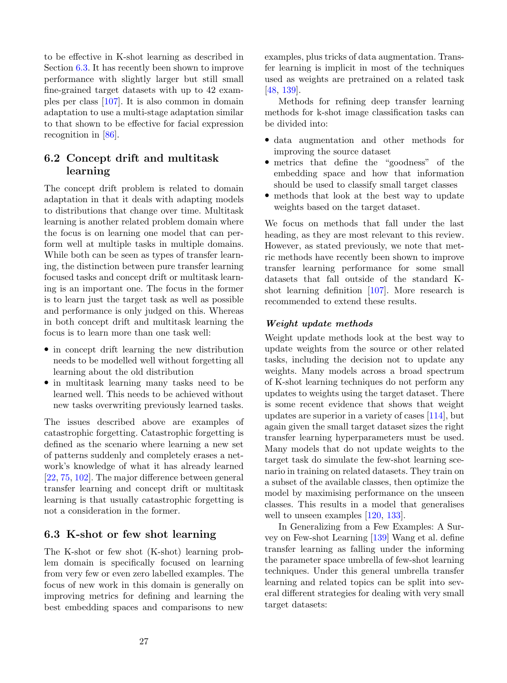to be effective in K-shot learning as described in Section [6.3.](#page-26-0) It has recently been shown to improve performance with slightly larger but still small fine-grained target datasets with up to 42 examples per class [\[107\]](#page-36-15). It is also common in domain adaptation to use a multi-stage adaptation similar to that shown to be effective for facial expression recognition in [\[86\]](#page-35-9).

# 6.2 Concept drift and multitask learning

The concept drift problem is related to domain adaptation in that it deals with adapting models to distributions that change over time. Multitask learning is another related problem domain where the focus is on learning one model that can perform well at multiple tasks in multiple domains. While both can be seen as types of transfer learning, the distinction between pure transfer learning focused tasks and concept drift or multitask learning is an important one. The focus in the former is to learn just the target task as well as possible and performance is only judged on this. Whereas in both concept drift and multitask learning the focus is to learn more than one task well:

- in concept drift learning the new distribution needs to be modelled well without forgetting all learning about the old distribution
- in multitask learning many tasks need to be learned well. This needs to be achieved without new tasks overwriting previously learned tasks.

The issues described above are examples of catastrophic forgetting. Catastrophic forgetting is defined as the scenario where learning a new set of patterns suddenly and completely erases a network's knowledge of what it has already learned [\[22,](#page-31-14) [75,](#page-34-16) [102\]](#page-35-16). The major difference between general transfer learning and concept drift or multitask learning is that usually catastrophic forgetting is not a consideration in the former.

## <span id="page-26-0"></span>6.3 K-shot or few shot learning

The K-shot or few shot (K-shot) learning problem domain is specifically focused on learning from very few or even zero labelled examples. The focus of new work in this domain is generally on improving metrics for defining and learning the best embedding spaces and comparisons to new

examples, plus tricks of data augmentation. Transfer learning is implicit in most of the techniques used as weights are pretrained on a related task [\[48,](#page-32-19) [139\]](#page-38-2).

Methods for refining deep transfer learning methods for k-shot image classification tasks can be divided into:

- data augmentation and other methods for improving the source dataset
- metrics that define the "goodness" of the embedding space and how that information should be used to classify small target classes
- methods that look at the best way to update weights based on the target dataset.

We focus on methods that fall under the last heading, as they are most relevant to this review. However, as stated previously, we note that metric methods have recently been shown to improve transfer learning performance for some small datasets that fall outside of the standard Kshot learning definition [\[107\]](#page-36-15). More research is recommended to extend these results.

#### Weight update methods

Weight update methods look at the best way to update weights from the source or other related tasks, including the decision not to update any weights. Many models across a broad spectrum of K-shot learning techniques do not perform any updates to weights using the target dataset. There is some recent evidence that shows that weight updates are superior in a variety of cases [\[114\]](#page-36-6), but again given the small target dataset sizes the right transfer learning hyperparameters must be used. Many models that do not update weights to the target task do simulate the few-shot learning scenario in training on related datasets. They train on a subset of the available classes, then optimize the model by maximising performance on the unseen classes. This results in a model that generalises well to unseen examples [\[120,](#page-37-16) [133\]](#page-37-17).

In Generalizing from a Few Examples: A Survey on Few-shot Learning [\[139\]](#page-38-2) Wang et al. define transfer learning as falling under the informing the parameter space umbrella of few-shot learning techniques. Under this general umbrella transfer learning and related topics can be split into several different strategies for dealing with very small target datasets: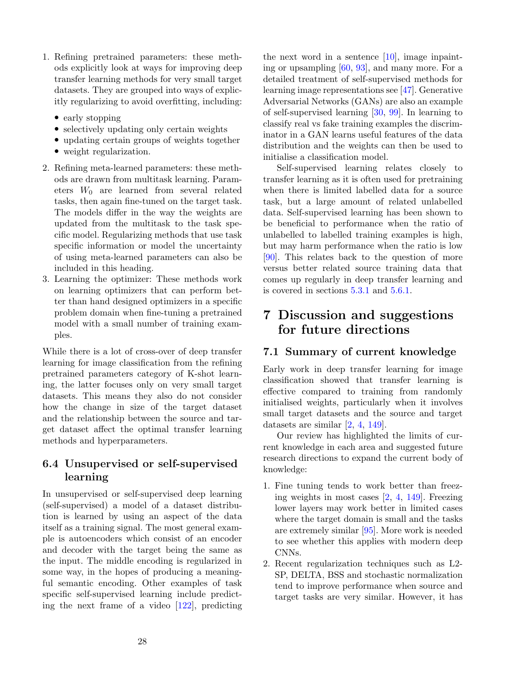- 1. Refining pretrained parameters: these methods explicitly look at ways for improving deep transfer learning methods for very small target datasets. They are grouped into ways of explicitly regularizing to avoid overfitting, including:
	- early stopping
	- selectively updating only certain weights
	- updating certain groups of weights together
	- weight regularization.
- 2. Refining meta-learned parameters: these methods are drawn from multitask learning. Parameters  $W_0$  are learned from several related tasks, then again fine-tuned on the target task. The models differ in the way the weights are updated from the multitask to the task specific model. Regularizing methods that use task specific information or model the uncertainty of using meta-learned parameters can also be included in this heading.
- 3. Learning the optimizer: These methods work on learning optimizers that can perform better than hand designed optimizers in a specific problem domain when fine-tuning a pretrained model with a small number of training examples.

While there is a lot of cross-over of deep transfer learning for image classification from the refining pretrained parameters category of K-shot learning, the latter focuses only on very small target datasets. This means they also do not consider how the change in size of the target dataset and the relationship between the source and target dataset affect the optimal transfer learning methods and hyperparameters.

# 6.4 Unsupervised or self-supervised learning

In unsupervised or self-supervised deep learning (self-supervised) a model of a dataset distribution is learned by using an aspect of the data itself as a training signal. The most general example is autoencoders which consist of an encoder and decoder with the target being the same as the input. The middle encoding is regularized in some way, in the hopes of producing a meaningful semantic encoding. Other examples of task specific self-supervised learning include predicting the next frame of a video [\[122\]](#page-37-14), predicting

the next word in a sentence  $[10]$ , image inpainting or upsampling [\[60,](#page-33-15) [93\]](#page-35-13), and many more. For a detailed treatment of self-supervised methods for learning image representations see [\[47\]](#page-32-18). Generative Adversarial Networks (GANs) are also an example of self-supervised learning [\[30,](#page-31-15) [99\]](#page-35-14). In learning to classify real vs fake training examples the discriminator in a GAN learns useful features of the data distribution and the weights can then be used to initialise a classification model.

Self-supervised learning relates closely to transfer learning as it is often used for pretraining when there is limited labelled data for a source task, but a large amount of related unlabelled data. Self-supervised learning has been shown to be beneficial to performance when the ratio of unlabelled to labelled training examples is high, but may harm performance when the ratio is low [\[90\]](#page-35-15). This relates back to the question of more versus better related source training data that comes up regularly in deep transfer learning and is covered in sections [5.3.1](#page-16-0) and [5.6.1.](#page-20-1)

# <span id="page-27-0"></span>7 Discussion and suggestions for future directions

## 7.1 Summary of current knowledge

Early work in deep transfer learning for image classification showed that transfer learning is effective compared to training from randomly initialised weights, particularly when it involves small target datasets and the source and target datasets are similar [\[2,](#page-30-5) [4,](#page-30-6) [149\]](#page-38-5).

Our review has highlighted the limits of current knowledge in each area and suggested future research directions to expand the current body of knowledge:

- 1. Fine tuning tends to work better than freezing weights in most cases [\[2,](#page-30-5) [4,](#page-30-6) [149\]](#page-38-5). Freezing lower layers may work better in limited cases where the target domain is small and the tasks are extremely similar [\[95\]](#page-35-2). More work is needed to see whether this applies with modern deep CNNs.
- 2. Recent regularization techniques such as L2- SP, DELTA, BSS and stochastic normalization tend to improve performance when source and target tasks are very similar. However, it has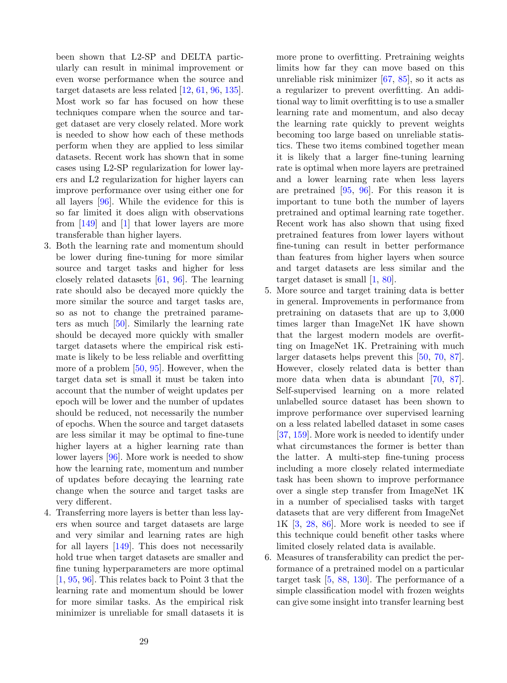been shown that L2-SP and DELTA particularly can result in minimal improvement or even worse performance when the source and target datasets are less related [\[12,](#page-30-8) [61,](#page-33-7) [96,](#page-35-6) [135\]](#page-37-9). Most work so far has focused on how these techniques compare when the source and target dataset are very closely related. More work is needed to show how each of these methods perform when they are applied to less similar datasets. Recent work has shown that in some cases using L2-SP regularization for lower layers and L2 regularization for higher layers can improve performance over using either one for all layers [\[96\]](#page-35-6). While the evidence for this is so far limited it does align with observations from [\[149\]](#page-38-5) and [\[1\]](#page-29-0) that lower layers are more transferable than higher layers.

- 3. Both the learning rate and momentum should be lower during fine-tuning for more similar source and target tasks and higher for less closely related datasets [\[61,](#page-33-7) [96\]](#page-35-6). The learning rate should also be decayed more quickly the more similar the source and target tasks are, so as not to change the pretrained parameters as much [\[50\]](#page-32-0). Similarly the learning rate should be decayed more quickly with smaller target datasets where the empirical risk estimate is likely to be less reliable and overfitting more of a problem [\[50,](#page-32-0) [95\]](#page-35-2). However, when the target data set is small it must be taken into account that the number of weight updates per epoch will be lower and the number of updates should be reduced, not necessarily the number of epochs. When the source and target datasets are less similar it may be optimal to fine-tune higher layers at a higher learning rate than lower layers [\[96\]](#page-35-6). More work is needed to show how the learning rate, momentum and number of updates before decaying the learning rate change when the source and target tasks are very different.
- 4. Transferring more layers is better than less layers when source and target datasets are large and very similar and learning rates are high for all layers [\[149\]](#page-38-5). This does not necessarily hold true when target datasets are smaller and fine tuning hyperparameters are more optimal [\[1,](#page-29-0) [95,](#page-35-2) [96\]](#page-35-6). This relates back to Point 3 that the learning rate and momentum should be lower for more similar tasks. As the empirical risk minimizer is unreliable for small datasets it is

more prone to overfitting. Pretraining weights limits how far they can move based on this unreliable risk minimizer [\[67,](#page-33-3) [85\]](#page-34-4), so it acts as a regularizer to prevent overfitting. An additional way to limit overfitting is to use a smaller learning rate and momentum, and also decay the learning rate quickly to prevent weights becoming too large based on unreliable statistics. These two items combined together mean it is likely that a larger fine-tuning learning rate is optimal when more layers are pretrained and a lower learning rate when less layers are pretrained [\[95,](#page-35-2) [96\]](#page-35-6). For this reason it is important to tune both the number of layers pretrained and optimal learning rate together. Recent work has also shown that using fixed pretrained features from lower layers without fine-tuning can result in better performance than features from higher layers when source and target datasets are less similar and the target dataset is small [\[1,](#page-29-0) [80\]](#page-34-11).

- 5. More source and target training data is better in general. Improvements in performance from pretraining on datasets that are up to 3,000 times larger than ImageNet 1K have shown that the largest modern models are overfitting on ImageNet 1K. Pretraining with much larger datasets helps prevent this [\[50,](#page-32-0) [70,](#page-34-2) [87\]](#page-35-0). However, closely related data is better than more data when data is abundant [\[70,](#page-34-2) [87\]](#page-35-0). Self-supervised learning on a more related unlabelled source dataset has been shown to improve performance over supervised learning on a less related labelled dataset in some cases [\[37,](#page-32-9) [159\]](#page-39-2). More work is needed to identify under what circumstances the former is better than the latter. A multi-step fine-tuning process including a more closely related intermediate task has been shown to improve performance over a single step transfer from ImageNet 1K in a number of specialised tasks with target datasets that are very different from ImageNet  $1K$   $\left[3, 28, 86\right]$  $\left[3, 28, 86\right]$  $\left[3, 28, 86\right]$  $\left[3, 28, 86\right]$  $\left[3, 28, 86\right]$ . More work is needed to see if this technique could benefit other tasks where limited closely related data is available.
- 6. Measures of transferability can predict the performance of a pretrained model on a particular target task [\[5,](#page-30-10) [88,](#page-35-10) [130\]](#page-37-10). The performance of a simple classification model with frozen weights can give some insight into transfer learning best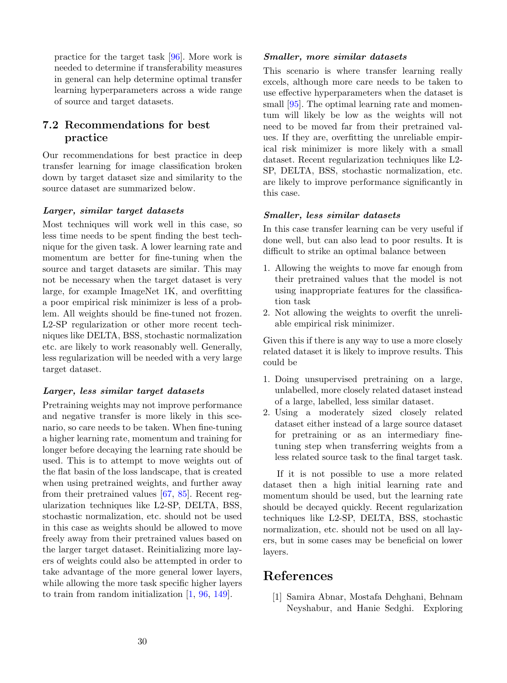practice for the target task [\[96\]](#page-35-6). More work is needed to determine if transferability measures in general can help determine optimal transfer learning hyperparameters across a wide range of source and target datasets.

# 7.2 Recommendations for best practice

Our recommendations for best practice in deep transfer learning for image classification broken down by target dataset size and similarity to the source dataset are summarized below.

#### Larger, similar target datasets

Most techniques will work well in this case, so less time needs to be spent finding the best technique for the given task. A lower learning rate and momentum are better for fine-tuning when the source and target datasets are similar. This may not be necessary when the target dataset is very large, for example ImageNet 1K, and overfitting a poor empirical risk minimizer is less of a problem. All weights should be fine-tuned not frozen. L2-SP regularization or other more recent techniques like DELTA, BSS, stochastic normalization etc. are likely to work reasonably well. Generally, less regularization will be needed with a very large target dataset.

#### Larger, less similar target datasets

Pretraining weights may not improve performance and negative transfer is more likely in this scenario, so care needs to be taken. When fine-tuning a higher learning rate, momentum and training for longer before decaying the learning rate should be used. This is to attempt to move weights out of the flat basin of the loss landscape, that is created when using pretrained weights, and further away from their pretrained values [\[67,](#page-33-3) [85\]](#page-34-4). Recent regularization techniques like L2-SP, DELTA, BSS, stochastic normalization, etc. should not be used in this case as weights should be allowed to move freely away from their pretrained values based on the larger target dataset. Reinitializing more layers of weights could also be attempted in order to take advantage of the more general lower layers, while allowing the more task specific higher layers to train from random initialization [\[1,](#page-29-0) [96,](#page-35-6) [149\]](#page-38-5).

#### Smaller, more similar datasets

This scenario is where transfer learning really excels, although more care needs to be taken to use effective hyperparameters when the dataset is small [\[95\]](#page-35-2). The optimal learning rate and momentum will likely be low as the weights will not need to be moved far from their pretrained values. If they are, overfitting the unreliable empirical risk minimizer is more likely with a small dataset. Recent regularization techniques like L2- SP, DELTA, BSS, stochastic normalization, etc. are likely to improve performance significantly in this case.

#### Smaller, less similar datasets

In this case transfer learning can be very useful if done well, but can also lead to poor results. It is difficult to strike an optimal balance between

- 1. Allowing the weights to move far enough from their pretrained values that the model is not using inappropriate features for the classification task
- 2. Not allowing the weights to overfit the unreliable empirical risk minimizer.

Given this if there is any way to use a more closely related dataset it is likely to improve results. This could be

- 1. Doing unsupervised pretraining on a large, unlabelled, more closely related dataset instead of a large, labelled, less similar dataset.
- 2. Using a moderately sized closely related dataset either instead of a large source dataset for pretraining or as an intermediary finetuning step when transferring weights from a less related source task to the final target task.

If it is not possible to use a more related dataset then a high initial learning rate and momentum should be used, but the learning rate should be decayed quickly. Recent regularization techniques like L2-SP, DELTA, BSS, stochastic normalization, etc. should not be used on all layers, but in some cases may be beneficial on lower layers.

# References

<span id="page-29-0"></span>[1] Samira Abnar, Mostafa Dehghani, Behnam Neyshabur, and Hanie Sedghi. Exploring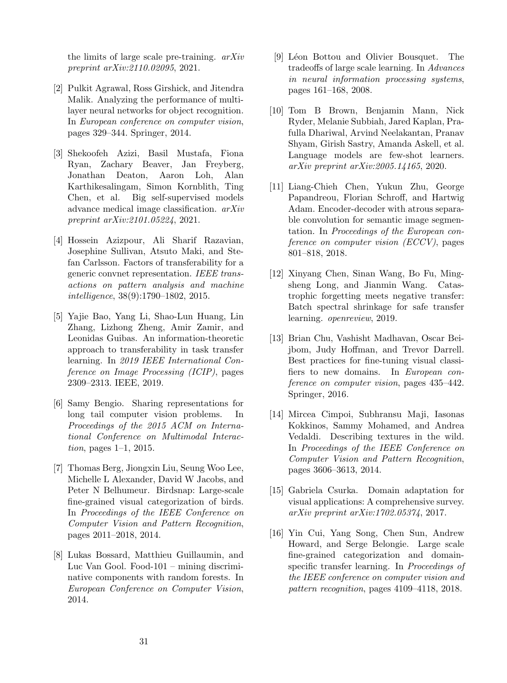the limits of large scale pre-training. arXiv preprint arXiv:2110.02095, 2021.

- <span id="page-30-5"></span>[2] Pulkit Agrawal, Ross Girshick, and Jitendra Malik. Analyzing the performance of multilayer neural networks for object recognition. In European conference on computer vision, pages 329–344. Springer, 2014.
- <span id="page-30-11"></span>[3] Shekoofeh Azizi, Basil Mustafa, Fiona Ryan, Zachary Beaver, Jan Freyberg, Jonathan Deaton, Aaron Loh, Alan Karthikesalingam, Simon Kornblith, Ting Chen, et al. Big self-supervised models advance medical image classification. arXiv preprint arXiv:2101.05224, 2021.
- <span id="page-30-6"></span>[4] Hossein Azizpour, Ali Sharif Razavian, Josephine Sullivan, Atsuto Maki, and Stefan Carlsson. Factors of transferability for a generic convnet representation. IEEE transactions on pattern analysis and machine intelligence, 38(9):1790–1802, 2015.
- <span id="page-30-10"></span>[5] Yajie Bao, Yang Li, Shao-Lun Huang, Lin Zhang, Lizhong Zheng, Amir Zamir, and Leonidas Guibas. An information-theoretic approach to transferability in task transfer learning. In 2019 IEEE International Conference on Image Processing (ICIP), pages 2309–2313. IEEE, 2019.
- <span id="page-30-0"></span>[6] Samy Bengio. Sharing representations for long tail computer vision problems. In Proceedings of the 2015 ACM on International Conference on Multimodal Interaction, pages 1–1, 2015.
- <span id="page-30-3"></span>[7] Thomas Berg, Jiongxin Liu, Seung Woo Lee, Michelle L Alexander, David W Jacobs, and Peter N Belhumeur. Birdsnap: Large-scale fine-grained visual categorization of birds. In Proceedings of the IEEE Conference on Computer Vision and Pattern Recognition, pages 2011–2018, 2014.
- <span id="page-30-2"></span>[8] Lukas Bossard, Matthieu Guillaumin, and Luc Van Gool. Food-101 – mining discriminative components with random forests. In European Conference on Computer Vision, 2014.
- <span id="page-30-1"></span>[9] Léon Bottou and Olivier Bousquet. The tradeoffs of large scale learning. In Advances in neural information processing systems, pages 161–168, 2008.
- <span id="page-30-14"></span>[10] Tom B Brown, Benjamin Mann, Nick Ryder, Melanie Subbiah, Jared Kaplan, Prafulla Dhariwal, Arvind Neelakantan, Pranav Shyam, Girish Sastry, Amanda Askell, et al. Language models are few-shot learners. arXiv preprint arXiv:2005.14165, 2020.
- <span id="page-30-12"></span>[11] Liang-Chieh Chen, Yukun Zhu, George Papandreou, Florian Schroff, and Hartwig Adam. Encoder-decoder with atrous separable convolution for semantic image segmentation. In Proceedings of the European conference on computer vision (ECCV), pages 801–818, 2018.
- <span id="page-30-8"></span>[12] Xinyang Chen, Sinan Wang, Bo Fu, Mingsheng Long, and Jianmin Wang. Catastrophic forgetting meets negative transfer: Batch spectral shrinkage for safe transfer learning. openreview, 2019.
- <span id="page-30-7"></span>[13] Brian Chu, Vashisht Madhavan, Oscar Beijbom, Judy Hoffman, and Trevor Darrell. Best practices for fine-tuning visual classifiers to new domains. In European conference on computer vision, pages 435–442. Springer, 2016.
- <span id="page-30-4"></span>[14] Mircea Cimpoi, Subhransu Maji, Iasonas Kokkinos, Sammy Mohamed, and Andrea Vedaldi. Describing textures in the wild. In Proceedings of the IEEE Conference on Computer Vision and Pattern Recognition, pages 3606–3613, 2014.
- <span id="page-30-13"></span>[15] Gabriela Csurka. Domain adaptation for visual applications: A comprehensive survey. arXiv preprint arXiv:1702.05374, 2017.
- <span id="page-30-9"></span>[16] Yin Cui, Yang Song, Chen Sun, Andrew Howard, and Serge Belongie. Large scale fine-grained categorization and domainspecific transfer learning. In Proceedings of the IEEE conference on computer vision and pattern recognition, pages 4109–4118, 2018.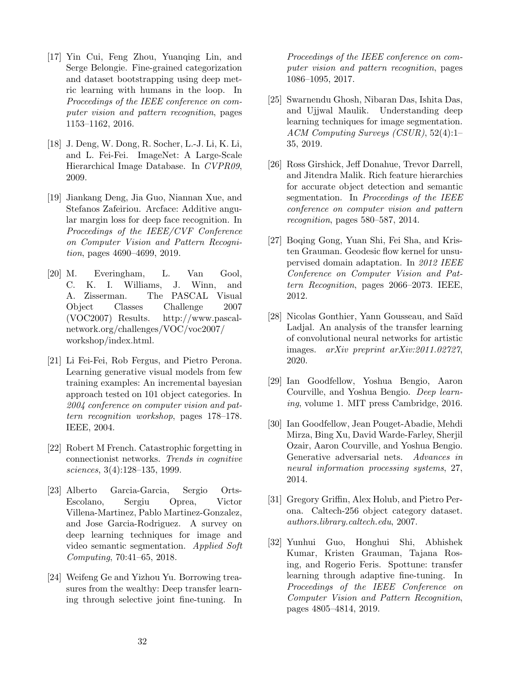- <span id="page-31-7"></span>[17] Yin Cui, Feng Zhou, Yuanqing Lin, and Serge Belongie. Fine-grained categorization and dataset bootstrapping using deep metric learning with humans in the loop. In Proceedings of the IEEE conference on computer vision and pattern recognition, pages 1153–1162, 2016.
- <span id="page-31-2"></span>[18] J. Deng, W. Dong, R. Socher, L.-J. Li, K. Li, and L. Fei-Fei. ImageNet: A Large-Scale Hierarchical Image Database. In CVPR09, 2009.
- <span id="page-31-10"></span>[19] Jiankang Deng, Jia Guo, Niannan Xue, and Stefanos Zafeiriou. Arcface: Additive angular margin loss for deep face recognition. In Proceedings of the IEEE/CVF Conference on Computer Vision and Pattern Recognition, pages 4690–4699, 2019.
- <span id="page-31-3"></span>[20] M. Everingham, L. Van Gool, C. K. I. Williams, J. Winn, and A. Zisserman. The PASCAL Visual Object Classes Challenge 2007 (VOC2007) Results. http://www.pascalnetwork.org/challenges/VOC/voc2007/ workshop/index.html.
- <span id="page-31-4"></span>[21] Li Fei-Fei, Rob Fergus, and Pietro Perona. Learning generative visual models from few training examples: An incremental bayesian approach tested on 101 object categories. In 2004 conference on computer vision and pattern recognition workshop, pages 178–178. IEEE, 2004.
- <span id="page-31-14"></span>[22] Robert M French. Catastrophic forgetting in connectionist networks. Trends in cognitive sciences, 3(4):128–135, 1999.
- <span id="page-31-11"></span>[23] Alberto Garcia-Garcia, Sergio Orts-Escolano, Sergiu Oprea, Victor Villena-Martinez, Pablo Martinez-Gonzalez, and Jose Garcia-Rodriguez. A survey on deep learning techniques for image and video semantic segmentation. Applied Soft Computing, 70:41–65, 2018.
- <span id="page-31-9"></span>[24] Weifeng Ge and Yizhou Yu. Borrowing treasures from the wealthy: Deep transfer learning through selective joint fine-tuning. In

Proceedings of the IEEE conference on computer vision and pattern recognition, pages 1086–1095, 2017.

- <span id="page-31-12"></span>[25] Swarnendu Ghosh, Nibaran Das, Ishita Das, and Ujjwal Maulik. Understanding deep learning techniques for image segmentation. ACM Computing Surveys (CSUR), 52(4):1– 35, 2019.
- <span id="page-31-0"></span>[26] Ross Girshick, Jeff Donahue, Trevor Darrell, and Jitendra Malik. Rich feature hierarchies for accurate object detection and semantic segmentation. In Proceedings of the IEEE conference on computer vision and pattern recognition, pages 580–587, 2014.
- <span id="page-31-13"></span>[27] Boqing Gong, Yuan Shi, Fei Sha, and Kristen Grauman. Geodesic flow kernel for unsupervised domain adaptation. In 2012 IEEE Conference on Computer Vision and Pattern Recognition, pages 2066–2073. IEEE, 2012.
- <span id="page-31-8"></span>[28] Nicolas Gonthier, Yann Gousseau, and Saïd Ladjal. An analysis of the transfer learning of convolutional neural networks for artistic images. arXiv preprint arXiv:2011.02727, 2020.
- <span id="page-31-1"></span>[29] Ian Goodfellow, Yoshua Bengio, Aaron Courville, and Yoshua Bengio. Deep learning, volume 1. MIT press Cambridge, 2016.
- <span id="page-31-15"></span>[30] Ian Goodfellow, Jean Pouget-Abadie, Mehdi Mirza, Bing Xu, David Warde-Farley, Sherjil Ozair, Aaron Courville, and Yoshua Bengio. Generative adversarial nets. Advances in neural information processing systems, 27, 2014.
- <span id="page-31-5"></span>[31] Gregory Griffin, Alex Holub, and Pietro Perona. Caltech-256 object category dataset. authors.library.caltech.edu, 2007.
- <span id="page-31-6"></span>[32] Yunhui Guo, Honghui Shi, Abhishek Kumar, Kristen Grauman, Tajana Rosing, and Rogerio Feris. Spottune: transfer learning through adaptive fine-tuning. In Proceedings of the IEEE Conference on Computer Vision and Pattern Recognition, pages 4805–4814, 2019.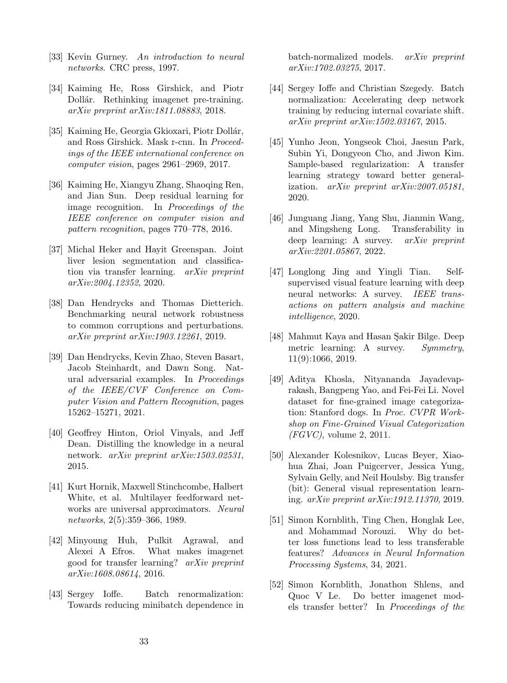- <span id="page-32-2"></span>[33] Kevin Gurney. An introduction to neural networks. CRC press, 1997.
- <span id="page-32-10"></span>[34] Kaiming He, Ross Girshick, and Piotr Dollár. Rethinking imagenet pre-training. arXiv preprint arXiv:1811.08883, 2018.
- <span id="page-32-15"></span>[35] Kaiming He, Georgia Gkioxari, Piotr Dollár, and Ross Girshick. Mask r-cnn. In Proceedings of the IEEE international conference on computer vision, pages 2961–2969, 2017.
- <span id="page-32-11"></span>[36] Kaiming He, Xiangyu Zhang, Shaoqing Ren, and Jian Sun. Deep residual learning for image recognition. In Proceedings of the IEEE conference on computer vision and pattern recognition, pages 770–778, 2016.
- <span id="page-32-9"></span>[37] Michal Heker and Hayit Greenspan. Joint liver lesion segmentation and classification via transfer learning. arXiv preprint arXiv:2004.12352, 2020.
- <span id="page-32-16"></span>[38] Dan Hendrycks and Thomas Dietterich. Benchmarking neural network robustness to common corruptions and perturbations. arXiv preprint arXiv:1903.12261, 2019.
- <span id="page-32-17"></span>[39] Dan Hendrycks, Kevin Zhao, Steven Basart, Jacob Steinhardt, and Dawn Song. Natural adversarial examples. In Proceedings of the IEEE/CVF Conference on Computer Vision and Pattern Recognition, pages 15262–15271, 2021.
- <span id="page-32-5"></span>[40] Geoffrey Hinton, Oriol Vinyals, and Jeff Dean. Distilling the knowledge in a neural network. arXiv preprint arXiv:1503.02531, 2015.
- <span id="page-32-3"></span>[41] Kurt Hornik, Maxwell Stinchcombe, Halbert White, et al. Multilayer feedforward networks are universal approximators. Neural networks, 2(5):359–366, 1989.
- <span id="page-32-7"></span>[42] Minyoung Huh, Pulkit Agrawal, and Alexei A Efros. What makes imagenet good for transfer learning? arXiv preprint arXiv:1608.08614, 2016.
- <span id="page-32-13"></span>[43] Sergey Ioffe. Batch renormalization: Towards reducing minibatch dependence in

batch-normalized models. arXiv preprint arXiv:1702.03275, 2017.

- <span id="page-32-14"></span>[44] Sergey Ioffe and Christian Szegedy. Batch normalization: Accelerating deep network training by reducing internal covariate shift. arXiv preprint arXiv:1502.03167, 2015.
- <span id="page-32-12"></span>[45] Yunho Jeon, Yongseok Choi, Jaesun Park, Subin Yi, Dongyeon Cho, and Jiwon Kim. Sample-based regularization: A transfer learning strategy toward better generalization. arXiv preprint arXiv:2007.05181, 2020.
- <span id="page-32-1"></span>[46] Junguang Jiang, Yang Shu, Jianmin Wang, and Mingsheng Long. Transferability in deep learning: A survey. arXiv preprint arXiv:2201.05867, 2022.
- <span id="page-32-18"></span>[47] Longlong Jing and Yingli Tian. Selfsupervised visual feature learning with deep neural networks: A survey. IEEE transactions on pattern analysis and machine intelligence, 2020.
- <span id="page-32-19"></span>[48] Mahmut Kaya and Hasan Sakir Bilge. Deep metric learning: A survey. Symmetry, 11(9):1066, 2019.
- <span id="page-32-6"></span>[49] Aditya Khosla, Nityananda Jayadevaprakash, Bangpeng Yao, and Fei-Fei Li. Novel dataset for fine-grained image categorization: Stanford dogs. In Proc. CVPR Workshop on Fine-Grained Visual Categorization (FGVC), volume 2, 2011.
- <span id="page-32-0"></span>[50] Alexander Kolesnikov, Lucas Beyer, Xiaohua Zhai, Joan Puigcerver, Jessica Yung, Sylvain Gelly, and Neil Houlsby. Big transfer (bit): General visual representation learning. arXiv preprint arXiv:1912.11370, 2019.
- <span id="page-32-4"></span>[51] Simon Kornblith, Ting Chen, Honglak Lee, and Mohammad Norouzi. Why do better loss functions lead to less transferable features? Advances in Neural Information Processing Systems, 34, 2021.
- <span id="page-32-8"></span>[52] Simon Kornblith, Jonathon Shlens, and Quoc V Le. Do better imagenet models transfer better? In Proceedings of the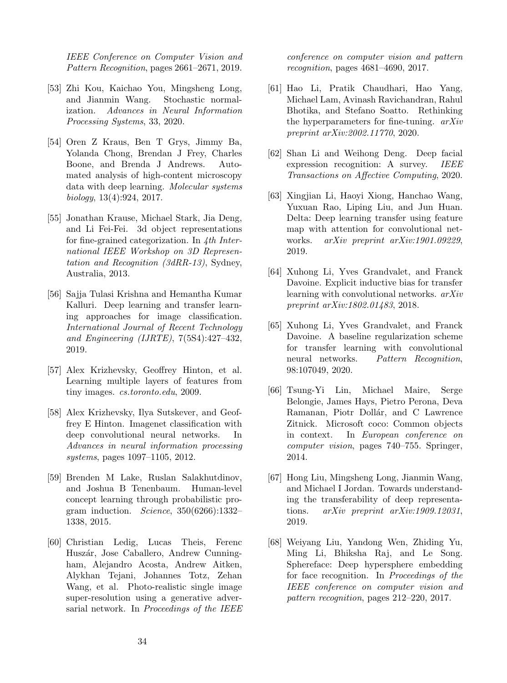IEEE Conference on Computer Vision and Pattern Recognition, pages 2661–2671, 2019.

- <span id="page-33-11"></span>[53] Zhi Kou, Kaichao You, Mingsheng Long, and Jianmin Wang. Stochastic normalization. Advances in Neural Information Processing Systems, 33, 2020.
- <span id="page-33-13"></span>[54] Oren Z Kraus, Ben T Grys, Jimmy Ba, Yolanda Chong, Brendan J Frey, Charles Boone, and Brenda J Andrews. Automated analysis of high-content microscopy data with deep learning. Molecular systems biology, 13(4):924, 2017.
- <span id="page-33-5"></span>[55] Jonathan Krause, Michael Stark, Jia Deng, and Li Fei-Fei. 3d object representations for fine-grained categorization. In 4th International IEEE Workshop on 3D Representation and Recognition (3dRR-13), Sydney, Australia, 2013.
- <span id="page-33-2"></span>[56] Sajja Tulasi Krishna and Hemantha Kumar Kalluri. Deep learning and transfer learning approaches for image classification. International Journal of Recent Technology and Engineering (IJRTE), 7(5S4):427–432, 2019.
- <span id="page-33-4"></span>[57] Alex Krizhevsky, Geoffrey Hinton, et al. Learning multiple layers of features from tiny images. cs.toronto.edu, 2009.
- <span id="page-33-0"></span>[58] Alex Krizhevsky, Ilya Sutskever, and Geoffrey E Hinton. Imagenet classification with deep convolutional neural networks. In Advances in neural information processing systems, pages 1097–1105, 2012.
- <span id="page-33-6"></span>[59] Brenden M Lake, Ruslan Salakhutdinov, and Joshua B Tenenbaum. Human-level concept learning through probabilistic program induction. Science, 350(6266):1332– 1338, 2015.
- <span id="page-33-15"></span>[60] Christian Ledig, Lucas Theis, Ferenc Huszár, Jose Caballero, Andrew Cunningham, Alejandro Acosta, Andrew Aitken, Alykhan Tejani, Johannes Totz, Zehan Wang, et al. Photo-realistic single image super-resolution using a generative adversarial network. In Proceedings of the IEEE

conference on computer vision and pattern recognition, pages 4681–4690, 2017.

- <span id="page-33-7"></span>[61] Hao Li, Pratik Chaudhari, Hao Yang, Michael Lam, Avinash Ravichandran, Rahul Bhotika, and Stefano Soatto. Rethinking the hyperparameters for fine-tuning. arXiv preprint arXiv:2002.11770, 2020.
- <span id="page-33-1"></span>[62] Shan Li and Weihong Deng. Deep facial expression recognition: A survey. IEEE Transactions on Affective Computing, 2020.
- <span id="page-33-10"></span>[63] Xingjian Li, Haoyi Xiong, Hanchao Wang, Yuxuan Rao, Liping Liu, and Jun Huan. Delta: Deep learning transfer using feature map with attention for convolutional networks. arXiv preprint arXiv:1901.09229, 2019.
- <span id="page-33-8"></span>[64] Xuhong Li, Yves Grandvalet, and Franck Davoine. Explicit inductive bias for transfer learning with convolutional networks. arXiv preprint arXiv:1802.01483, 2018.
- <span id="page-33-9"></span>[65] Xuhong Li, Yves Grandvalet, and Franck Davoine. A baseline regularization scheme for transfer learning with convolutional neural networks. Pattern Recognition, 98:107049, 2020.
- <span id="page-33-12"></span>[66] Tsung-Yi Lin, Michael Maire, Serge Belongie, James Hays, Pietro Perona, Deva Ramanan, Piotr Dollár, and C Lawrence Zitnick. Microsoft coco: Common objects in context. In European conference on computer vision, pages 740–755. Springer, 2014.
- <span id="page-33-3"></span>[67] Hong Liu, Mingsheng Long, Jianmin Wang, and Michael I Jordan. Towards understanding the transferability of deep representations. arXiv preprint arXiv:1909.12031, 2019.
- <span id="page-33-14"></span>[68] Weiyang Liu, Yandong Wen, Zhiding Yu, Ming Li, Bhiksha Raj, and Le Song. Sphereface: Deep hypersphere embedding for face recognition. In Proceedings of the IEEE conference on computer vision and pattern recognition, pages 212–220, 2017.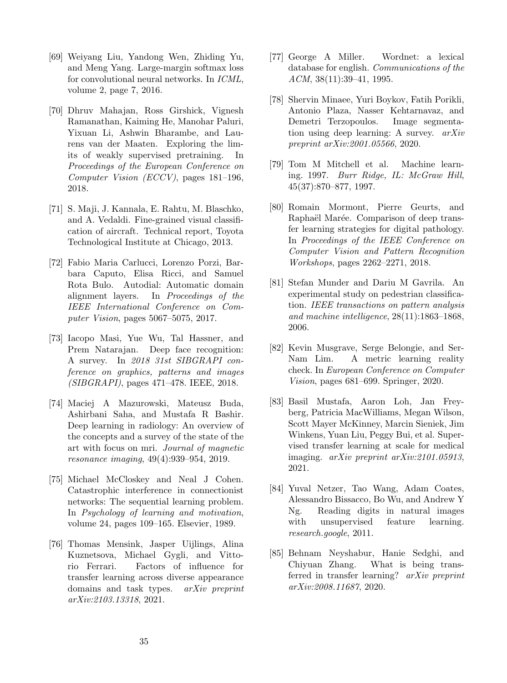- <span id="page-34-12"></span>[69] Weiyang Liu, Yandong Wen, Zhiding Yu, and Meng Yang. Large-margin softmax loss for convolutional neural networks. In ICML, volume 2, page 7, 2016.
- <span id="page-34-2"></span>[70] Dhruv Mahajan, Ross Girshick, Vignesh Ramanathan, Kaiming He, Manohar Paluri, Yixuan Li, Ashwin Bharambe, and Laurens van der Maaten. Exploring the limits of weakly supervised pretraining. In Proceedings of the European Conference on Computer Vision (ECCV), pages 181–196, 2018.
- <span id="page-34-6"></span>[71] S. Maji, J. Kannala, E. Rahtu, M. Blaschko, and A. Vedaldi. Fine-grained visual classification of aircraft. Technical report, Toyota Technological Institute at Chicago, 2013.
- <span id="page-34-9"></span>[72] Fabio Maria Carlucci, Lorenzo Porzi, Barbara Caputo, Elisa Ricci, and Samuel Rota Bulo. Autodial: Automatic domain alignment layers. In Proceedings of the IEEE International Conference on Computer Vision, pages 5067–5075, 2017.
- <span id="page-34-0"></span>[73] Iacopo Masi, Yue Wu, Tal Hassner, and Prem Natarajan. Deep face recognition: A survey. In 2018 31st SIBGRAPI conference on graphics, patterns and images (SIBGRAPI), pages 471–478. IEEE, 2018.
- <span id="page-34-1"></span>[74] Maciej A Mazurowski, Mateusz Buda, Ashirbani Saha, and Mustafa R Bashir. Deep learning in radiology: An overview of the concepts and a survey of the state of the art with focus on mri. Journal of magnetic resonance imaging, 49(4):939–954, 2019.
- <span id="page-34-16"></span>[75] Michael McCloskey and Neal J Cohen. Catastrophic interference in connectionist networks: The sequential learning problem. In Psychology of learning and motivation, volume 24, pages 109–165. Elsevier, 1989.
- <span id="page-34-10"></span>[76] Thomas Mensink, Jasper Uijlings, Alina Kuznetsova, Michael Gygli, and Vittorio Ferrari. Factors of influence for transfer learning across diverse appearance domains and task types. arXiv preprint arXiv:2103.13318, 2021.
- <span id="page-34-5"></span>[77] George A Miller. Wordnet: a lexical database for english. Communications of the  $ACM$ , 38(11):39-41, 1995.
- <span id="page-34-15"></span>[78] Shervin Minaee, Yuri Boykov, Fatih Porikli, Antonio Plaza, Nasser Kehtarnavaz, and Demetri Terzopoulos. Image segmentation using deep learning: A survey. arXiv preprint arXiv:2001.05566, 2020.
- <span id="page-34-3"></span>[79] Tom M Mitchell et al. Machine learning. 1997. Burr Ridge, IL: McGraw Hill, 45(37):870–877, 1997.
- <span id="page-34-11"></span>[80] Romain Mormont, Pierre Geurts, and Raphaël Marée. Comparison of deep transfer learning strategies for digital pathology. In Proceedings of the IEEE Conference on Computer Vision and Pattern Recognition Workshops, pages 2262–2271, 2018.
- <span id="page-34-7"></span>[81] Stefan Munder and Dariu M Gavrila. An experimental study on pedestrian classification. IEEE transactions on pattern analysis and machine intelligence, 28(11):1863–1868, 2006.
- <span id="page-34-13"></span>[82] Kevin Musgrave, Serge Belongie, and Ser-Nam Lim. A metric learning reality check. In European Conference on Computer Vision, pages 681–699. Springer, 2020.
- <span id="page-34-14"></span>[83] Basil Mustafa, Aaron Loh, Jan Freyberg, Patricia MacWilliams, Megan Wilson, Scott Mayer McKinney, Marcin Sieniek, Jim Winkens, Yuan Liu, Peggy Bui, et al. Supervised transfer learning at scale for medical imaging. arXiv preprint arXiv:2101.05913, 2021.
- <span id="page-34-8"></span>[84] Yuval Netzer, Tao Wang, Adam Coates, Alessandro Bissacco, Bo Wu, and Andrew Y Ng. Reading digits in natural images with unsupervised feature learning. research.google, 2011.
- <span id="page-34-4"></span>[85] Behnam Neyshabur, Hanie Sedghi, and Chiyuan Zhang. What is being transferred in transfer learning? arXiv preprint arXiv:2008.11687, 2020.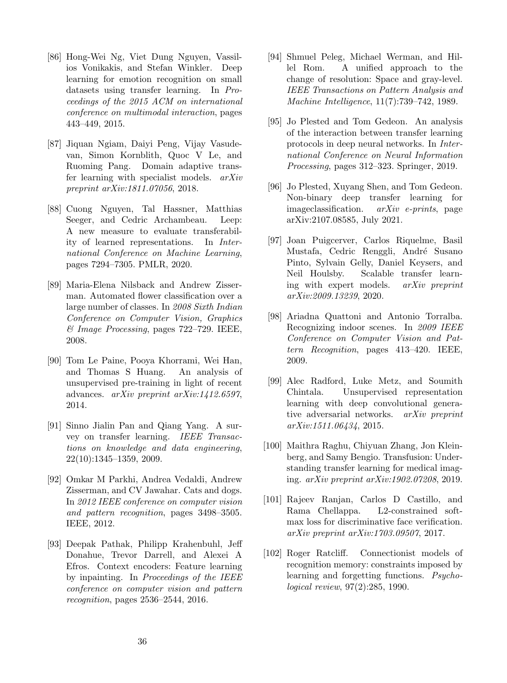- <span id="page-35-9"></span>[86] Hong-Wei Ng, Viet Dung Nguyen, Vassilios Vonikakis, and Stefan Winkler. Deep learning for emotion recognition on small datasets using transfer learning. In Proceedings of the 2015 ACM on international conference on multimodal interaction, pages 443–449, 2015.
- <span id="page-35-0"></span>[87] Jiquan Ngiam, Daiyi Peng, Vijay Vasudevan, Simon Kornblith, Quoc V Le, and Ruoming Pang. Domain adaptive transfer learning with specialist models. arXiv preprint arXiv:1811.07056, 2018.
- <span id="page-35-10"></span>[88] Cuong Nguyen, Tal Hassner, Matthias Seeger, and Cedric Archambeau. Leep: A new measure to evaluate transferability of learned representations. In International Conference on Machine Learning, pages 7294–7305. PMLR, 2020.
- <span id="page-35-4"></span>[89] Maria-Elena Nilsback and Andrew Zisserman. Automated flower classification over a large number of classes. In 2008 Sixth Indian Conference on Computer Vision, Graphics & Image Processing, pages 722–729. IEEE, 2008.
- <span id="page-35-15"></span>[90] Tom Le Paine, Pooya Khorrami, Wei Han, and Thomas S Huang. An analysis of unsupervised pre-training in light of recent advances. arXiv preprint arXiv:1412.6597, 2014.
- <span id="page-35-1"></span>[91] Sinno Jialin Pan and Qiang Yang. A survey on transfer learning. IEEE Transactions on knowledge and data engineering, 22(10):1345–1359, 2009.
- <span id="page-35-3"></span>[92] Omkar M Parkhi, Andrea Vedaldi, Andrew Zisserman, and CV Jawahar. Cats and dogs. In 2012 IEEE conference on computer vision and pattern recognition, pages 3498–3505. IEEE, 2012.
- <span id="page-35-13"></span>[93] Deepak Pathak, Philipp Krahenbuhl, Jeff Donahue, Trevor Darrell, and Alexei A Efros. Context encoders: Feature learning by inpainting. In Proceedings of the IEEE conference on computer vision and pattern recognition, pages 2536–2544, 2016.
- <span id="page-35-11"></span>[94] Shmuel Peleg, Michael Werman, and Hillel Rom. A unified approach to the change of resolution: Space and gray-level. IEEE Transactions on Pattern Analysis and Machine Intelligence, 11(7):739–742, 1989.
- <span id="page-35-2"></span>[95] Jo Plested and Tom Gedeon. An analysis of the interaction between transfer learning protocols in deep neural networks. In International Conference on Neural Information Processing, pages 312–323. Springer, 2019.
- <span id="page-35-6"></span>[96] Jo Plested, Xuyang Shen, and Tom Gedeon. Non-binary deep transfer learning for imageclassification. arXiv e-prints, page arXiv:2107.08585, July 2021.
- <span id="page-35-8"></span>[97] Joan Puigcerver, Carlos Riquelme, Basil Mustafa, Cedric Renggli, André Susano Pinto, Sylvain Gelly, Daniel Keysers, and Neil Houlsby. Scalable transfer learning with expert models. arXiv preprint arXiv:2009.13239, 2020.
- <span id="page-35-5"></span>[98] Ariadna Quattoni and Antonio Torralba. Recognizing indoor scenes. In 2009 IEEE Conference on Computer Vision and Pattern Recognition, pages 413–420. IEEE, 2009.
- <span id="page-35-14"></span>[99] Alec Radford, Luke Metz, and Soumith Chintala. Unsupervised representation learning with deep convolutional generative adversarial networks. arXiv preprint arXiv:1511.06434, 2015.
- <span id="page-35-7"></span>[100] Maithra Raghu, Chiyuan Zhang, Jon Kleinberg, and Samy Bengio. Transfusion: Understanding transfer learning for medical imaging. arXiv preprint arXiv:1902.07208, 2019.
- <span id="page-35-12"></span>[101] Rajeev Ranjan, Carlos D Castillo, and Rama Chellappa. L2-constrained softmax loss for discriminative face verification. arXiv preprint arXiv:1703.09507, 2017.
- <span id="page-35-16"></span>[102] Roger Ratcliff. Connectionist models of recognition memory: constraints imposed by learning and forgetting functions. Psychological review, 97(2):285, 1990.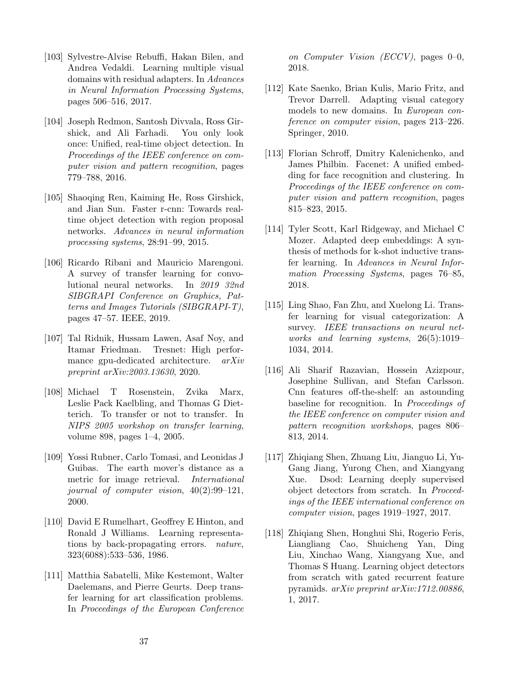- <span id="page-36-4"></span>[103] Sylvestre-Alvise Rebuffi, Hakan Bilen, and Andrea Vedaldi. Learning multiple visual domains with residual adapters. In Advances in Neural Information Processing Systems, pages 506–516, 2017.
- <span id="page-36-10"></span>[104] Joseph Redmon, Santosh Divvala, Ross Girshick, and Ali Farhadi. You only look once: Unified, real-time object detection. In Proceedings of the IEEE conference on computer vision and pattern recognition, pages 779–788, 2016.
- <span id="page-36-11"></span>[105] Shaoqing Ren, Kaiming He, Ross Girshick, and Jian Sun. Faster r-cnn: Towards realtime object detection with region proposal networks. Advances in neural information processing systems, 28:91–99, 2015.
- <span id="page-36-0"></span>[106] Ricardo Ribani and Mauricio Marengoni. A survey of transfer learning for convolutional neural networks. In 2019 32nd SIBGRAPI Conference on Graphics, Patterns and Images Tutorials (SIBGRAPI-T), pages 47–57. IEEE, 2019.
- <span id="page-36-15"></span>[107] Tal Ridnik, Hussam Lawen, Asaf Noy, and Itamar Friedman. Tresnet: High performance gpu-dedicated architecture. arXiv preprint arXiv:2003.13630, 2020.
- <span id="page-36-3"></span>[108] Michael T Rosenstein, Zvika Marx, Leslie Pack Kaelbling, and Thomas G Dietterich. To transfer or not to transfer. In NIPS 2005 workshop on transfer learning, volume 898, pages 1–4, 2005.
- <span id="page-36-7"></span>[109] Yossi Rubner, Carlo Tomasi, and Leonidas J Guibas. The earth mover's distance as a metric for image retrieval. International journal of computer vision, 40(2):99–121, 2000.
- <span id="page-36-2"></span>[110] David E Rumelhart, Geoffrey E Hinton, and Ronald J Williams. Learning representations by back-propagating errors. nature, 323(6088):533–536, 1986.
- <span id="page-36-8"></span>[111] Matthia Sabatelli, Mike Kestemont, Walter Daelemans, and Pierre Geurts. Deep transfer learning for art classification problems. In Proceedings of the European Conference

on Computer Vision (ECCV), pages  $0-0$ , 2018.

- <span id="page-36-14"></span>[112] Kate Saenko, Brian Kulis, Mario Fritz, and Trevor Darrell. Adapting visual category models to new domains. In European conference on computer vision, pages 213–226. Springer, 2010.
- <span id="page-36-9"></span>[113] Florian Schroff, Dmitry Kalenichenko, and James Philbin. Facenet: A unified embedding for face recognition and clustering. In Proceedings of the IEEE conference on computer vision and pattern recognition, pages 815–823, 2015.
- <span id="page-36-6"></span>[114] Tyler Scott, Karl Ridgeway, and Michael C Mozer. Adapted deep embeddings: A synthesis of methods for k-shot inductive transfer learning. In Advances in Neural Information Processing Systems, pages 76–85, 2018.
- <span id="page-36-1"></span>[115] Ling Shao, Fan Zhu, and Xuelong Li. Transfer learning for visual categorization: A survey. IEEE transactions on neural networks and learning systems, 26(5):1019– 1034, 2014.
- <span id="page-36-5"></span>[116] Ali Sharif Razavian, Hossein Azizpour, Josephine Sullivan, and Stefan Carlsson. Cnn features off-the-shelf: an astounding baseline for recognition. In Proceedings of the IEEE conference on computer vision and pattern recognition workshops, pages 806– 813, 2014.
- <span id="page-36-12"></span>[117] Zhiqiang Shen, Zhuang Liu, Jianguo Li, Yu-Gang Jiang, Yurong Chen, and Xiangyang Xue. Dsod: Learning deeply supervised object detectors from scratch. In Proceedings of the IEEE international conference on computer vision, pages 1919–1927, 2017.
- <span id="page-36-13"></span>[118] Zhiqiang Shen, Honghui Shi, Rogerio Feris, Liangliang Cao, Shuicheng Yan, Ding Liu, Xinchao Wang, Xiangyang Xue, and Thomas S Huang. Learning object detectors from scratch with gated recurrent feature pyramids. arXiv preprint arXiv:1712.00886, 1, 2017.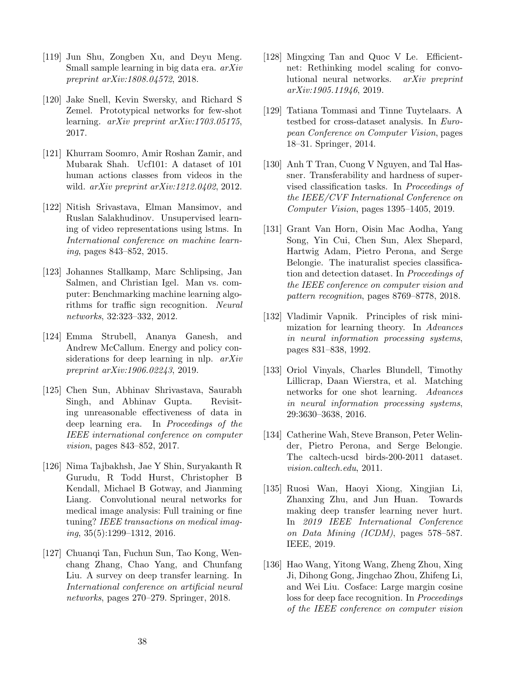- <span id="page-37-2"></span>[119] Jun Shu, Zongben Xu, and Deyu Meng. Small sample learning in big data era. arXiv preprint arXiv:1808.04572, 2018.
- <span id="page-37-16"></span>[120] Jake Snell, Kevin Swersky, and Richard S Zemel. Prototypical networks for few-shot learning. arXiv preprint arXiv:1703.05175, 2017.
- <span id="page-37-8"></span>[121] Khurram Soomro, Amir Roshan Zamir, and Mubarak Shah. Ucf101: A dataset of 101 human actions classes from videos in the wild. arXiv preprint arXiv:1212.0402, 2012.
- <span id="page-37-14"></span>[122] Nitish Srivastava, Elman Mansimov, and Ruslan Salakhudinov. Unsupervised learning of video representations using lstms. In International conference on machine learning, pages 843–852, 2015.
- <span id="page-37-7"></span>[123] Johannes Stallkamp, Marc Schlipsing, Jan Salmen, and Christian Igel. Man vs. computer: Benchmarking machine learning algorithms for traffic sign recognition. Neural networks, 32:323–332, 2012.
- <span id="page-37-0"></span>[124] Emma Strubell, Ananya Ganesh, and Andrew McCallum. Energy and policy considerations for deep learning in nlp.  $arXiv$ preprint arXiv:1906.02243, 2019.
- <span id="page-37-4"></span>[125] Chen Sun, Abhinav Shrivastava, Saurabh Singh, and Abhinav Gupta. Revisiting unreasonable effectiveness of data in deep learning era. In Proceedings of the IEEE international conference on computer vision, pages 843–852, 2017.
- <span id="page-37-13"></span>[126] Nima Tajbakhsh, Jae Y Shin, Suryakanth R Gurudu, R Todd Hurst, Christopher B Kendall, Michael B Gotway, and Jianming Liang. Convolutional neural networks for medical image analysis: Full training or fine tuning? IEEE transactions on medical imaging, 35(5):1299–1312, 2016.
- <span id="page-37-1"></span>[127] Chuanqi Tan, Fuchun Sun, Tao Kong, Wenchang Zhang, Chao Yang, and Chunfang Liu. A survey on deep transfer learning. In International conference on artificial neural networks, pages 270–279. Springer, 2018.
- <span id="page-37-11"></span>[128] Mingxing Tan and Quoc V Le. Efficientnet: Rethinking model scaling for convolutional neural networks. arXiv preprint arXiv:1905.11946, 2019.
- <span id="page-37-15"></span>[129] Tatiana Tommasi and Tinne Tuytelaars. A testbed for cross-dataset analysis. In European Conference on Computer Vision, pages 18–31. Springer, 2014.
- <span id="page-37-10"></span>[130] Anh T Tran, Cuong V Nguyen, and Tal Hassner. Transferability and hardness of supervised classification tasks. In Proceedings of the IEEE/CVF International Conference on Computer Vision, pages 1395–1405, 2019.
- <span id="page-37-5"></span>[131] Grant Van Horn, Oisin Mac Aodha, Yang Song, Yin Cui, Chen Sun, Alex Shepard, Hartwig Adam, Pietro Perona, and Serge Belongie. The inaturalist species classification and detection dataset. In Proceedings of the IEEE conference on computer vision and pattern recognition, pages 8769–8778, 2018.
- <span id="page-37-3"></span>[132] Vladimir Vapnik. Principles of risk minimization for learning theory. In Advances in neural information processing systems, pages 831–838, 1992.
- <span id="page-37-17"></span>[133] Oriol Vinyals, Charles Blundell, Timothy Lillicrap, Daan Wierstra, et al. Matching networks for one shot learning. Advances in neural information processing systems, 29:3630–3638, 2016.
- <span id="page-37-6"></span>[134] Catherine Wah, Steve Branson, Peter Welinder, Pietro Perona, and Serge Belongie. The caltech-ucsd birds-200-2011 dataset. vision.caltech.edu, 2011.
- <span id="page-37-9"></span>[135] Ruosi Wan, Haoyi Xiong, Xingjian Li, Zhanxing Zhu, and Jun Huan. Towards making deep transfer learning never hurt. In 2019 IEEE International Conference on Data Mining (ICDM), pages 578–587. IEEE, 2019.
- <span id="page-37-12"></span>[136] Hao Wang, Yitong Wang, Zheng Zhou, Xing Ji, Dihong Gong, Jingchao Zhou, Zhifeng Li, and Wei Liu. Cosface: Large margin cosine loss for deep face recognition. In Proceedings of the IEEE conference on computer vision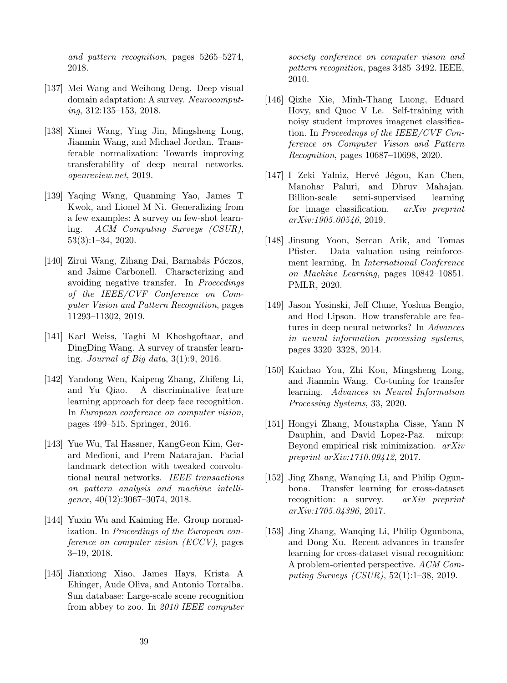and pattern recognition, pages 5265–5274, 2018.

- <span id="page-38-15"></span>[137] Mei Wang and Weihong Deng. Deep visual domain adaptation: A survey. Neurocomputing, 312:135–153, 2018.
- <span id="page-38-3"></span>[138] Ximei Wang, Ying Jin, Mingsheng Long, Jianmin Wang, and Michael Jordan. Transferable normalization: Towards improving transferability of deep neural networks. openreview.net, 2019.
- <span id="page-38-2"></span>[139] Yaqing Wang, Quanming Yao, James T Kwok, and Lionel M Ni. Generalizing from a few examples: A survey on few-shot learning. ACM Computing Surveys (CSUR), 53(3):1–34, 2020.
- <span id="page-38-4"></span>[140] Zirui Wang, Zihang Dai, Barnabás Póczos, and Jaime Carbonell. Characterizing and avoiding negative transfer. In Proceedings of the IEEE/CVF Conference on Computer Vision and Pattern Recognition, pages 11293–11302, 2019.
- <span id="page-38-1"></span>[141] Karl Weiss, Taghi M Khoshgoftaar, and DingDing Wang. A survey of transfer learning. Journal of Big data, 3(1):9, 2016.
- <span id="page-38-14"></span>[142] Yandong Wen, Kaipeng Zhang, Zhifeng Li, and Yu Qiao. A discriminative feature learning approach for deep face recognition. In European conference on computer vision, pages 499–515. Springer, 2016.
- <span id="page-38-10"></span>[143] Yue Wu, Tal Hassner, KangGeon Kim, Gerard Medioni, and Prem Natarajan. Facial landmark detection with tweaked convolutional neural networks. IEEE transactions on pattern analysis and machine intelligence, 40(12):3067–3074, 2018.
- <span id="page-38-8"></span>[144] Yuxin Wu and Kaiming He. Group normalization. In Proceedings of the European conference on computer vision (ECCV), pages 3–19, 2018.
- <span id="page-38-6"></span>[145] Jianxiong Xiao, James Hays, Krista A Ehinger, Aude Oliva, and Antonio Torralba. Sun database: Large-scale scene recognition from abbey to zoo. In 2010 IEEE computer

society conference on computer vision and pattern recognition, pages 3485–3492. IEEE, 2010.

- <span id="page-38-11"></span>[146] Qizhe Xie, Minh-Thang Luong, Eduard Hovy, and Quoc V Le. Self-training with noisy student improves imagenet classification. In Proceedings of the IEEE/CVF Conference on Computer Vision and Pattern Recognition, pages 10687–10698, 2020.
- <span id="page-38-12"></span>[147] I Zeki Yalniz, Hervé Jégou, Kan Chen, Manohar Paluri, and Dhruv Mahajan. Billion-scale semi-supervised learning for image classification. arXiv preprint arXiv:1905.00546, 2019.
- <span id="page-38-13"></span>[148] Jinsung Yoon, Sercan Arik, and Tomas Pfister. Data valuation using reinforcement learning. In International Conference on Machine Learning, pages 10842–10851. PMLR, 2020.
- <span id="page-38-5"></span>[149] Jason Yosinski, Jeff Clune, Yoshua Bengio, and Hod Lipson. How transferable are features in deep neural networks? In Advances in neural information processing systems, pages 3320–3328, 2014.
- <span id="page-38-7"></span>[150] Kaichao You, Zhi Kou, Mingsheng Long, and Jianmin Wang. Co-tuning for transfer learning. Advances in Neural Information Processing Systems, 33, 2020.
- <span id="page-38-9"></span>[151] Hongyi Zhang, Moustapha Cisse, Yann N Dauphin, and David Lopez-Paz. mixup: Beyond empirical risk minimization. arXiv preprint arXiv:1710.09412, 2017.
- <span id="page-38-16"></span>[152] Jing Zhang, Wanqing Li, and Philip Ogunbona. Transfer learning for cross-dataset recognition: a survey.  $arXiv$  preprint arXiv:1705.04396, 2017.
- <span id="page-38-0"></span>[153] Jing Zhang, Wanqing Li, Philip Ogunbona, and Dong Xu. Recent advances in transfer learning for cross-dataset visual recognition: A problem-oriented perspective. ACM Computing Surveys (CSUR), 52(1):1–38, 2019.